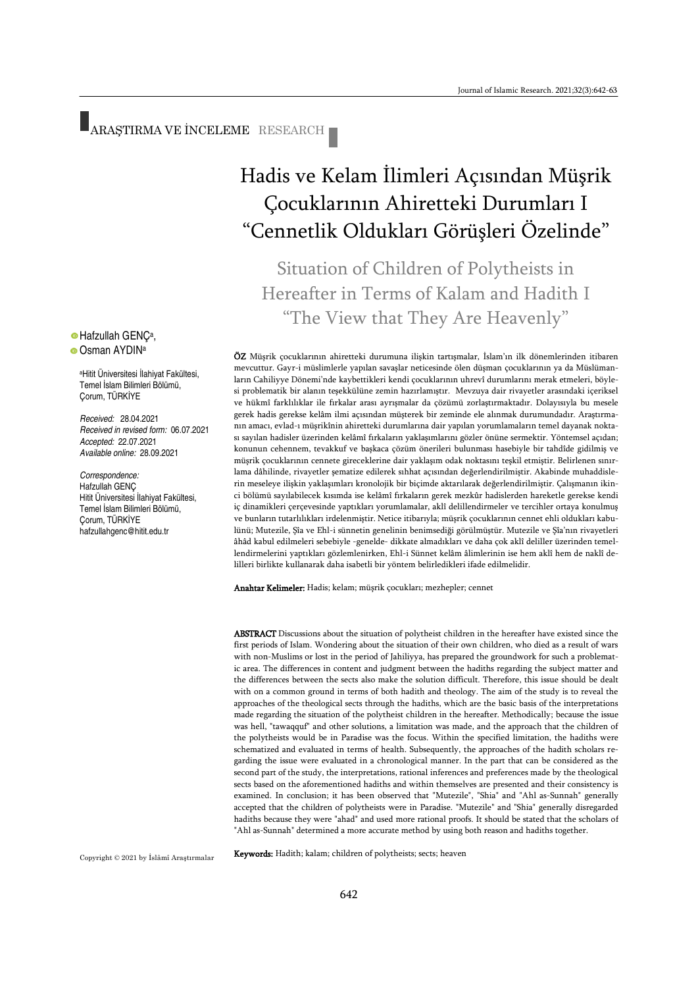ARAŞTIRMA VE İNCELEME RESEARCH

# Hadis ve Kelam İlimleri Açısından Müşrik Çocuklarının Ahiretteki Durumları I "Cennetlik Oldukları Görüşleri Özelinde"

Situation of Children of Polytheists in Hereafter in Terms of Kalam and Hadith I "The View that They Are Heavenly"

ÖZ Müşrik çocuklarının ahiretteki durumuna ilişkin tartışmalar, İslam'ın ilk dönemlerinden itibaren mevcuttur. Gayr-i müslimlerle yapılan savaşlar neticesinde ölen düşman çocuklarının ya da Müslümanların Cahiliyye Dönemi'nde kaybettikleri kendi çocuklarının uhrevî durumlarını merak etmeleri, böylesi problematik bir alanın teşekkülüne zemin hazırlamıştır. Mevzuya dair rivayetler arasındaki içeriksel ve hükmî farklılıklar ile fırkalar arası ayrışmalar da çözümü zorlaştırmaktadır. Dolayısıyla bu mesele gerek hadis gerekse kelâm ilmi açısından müşterek bir zeminde ele alınmak durumundadır. Araştırmanın amacı, evlad-ı müşrikînin ahiretteki durumlarına dair yapılan yorumlamaların temel dayanak noktası sayılan hadisler üzerinden kelâmî fırkaların yaklaşımlarını gözler önüne sermektir. Yöntemsel açıdan; konunun cehennem, tevakkuf ve başkaca çözüm önerileri bulunması hasebiyle bir tahdîde gidilmiş ve müşrik çocuklarının cennete gireceklerine dair yaklaşım odak noktasını teşkil etmiştir. Belirlenen sınırlama dâhilinde, rivayetler şematize edilerek sıhhat açısından değerlendirilmiştir. Akabinde muhaddislerin meseleye ilişkin yaklaşımları kronolojik bir biçimde aktarılarak değerlendirilmiştir. Çalışmanın ikinci bölümü sayılabilecek kısımda ise kelâmî fırkaların gerek mezkûr hadislerden hareketle gerekse kendi iç dinamikleri çerçevesinde yaptıkları yorumlamalar, aklî delillendirmeler ve tercihler ortaya konulmuş ve bunların tutarlılıkları irdelenmiştir. Netice itibarıyla; müşrik çocuklarının cennet ehli oldukları kabulünü; Mutezile, Şîa ve Ehl-i sünnetin genelinin benimsediği görülmüştür. Mutezile ve Şîa'nın rivayetleri âhâd kabul edilmeleri sebebiyle -genelde- dikkate almadıkları ve daha çok aklî deliller üzerinden temellendirmelerini yaptıkları gözlemlenirken, Ehl-i Sünnet kelâm âlimlerinin ise hem aklî hem de naklî delilleri birlikte kullanarak daha isabetli bir yöntem belirledikleri ifade edilmelidir.

Anahtar Kelimeler: Hadis; kelam; müşrik çocukları; mezhepler; cennet

ABSTRACT Discussions about the situation of polytheist children in the hereafter have existed since the first periods of Islam. Wondering about the situation of their own children, who died as a result of wars with non-Muslims or lost in the period of Jahiliyya, has prepared the groundwork for such a problematic area. The differences in content and judgment between the hadiths regarding the subject matter and the differences between the sects also make the solution difficult. Therefore, this issue should be dealt with on a common ground in terms of both hadith and theology. The aim of the study is to reveal the approaches of the theological sects through the hadiths, which are the basic basis of the interpretations made regarding the situation of the polytheist children in the hereafter. Methodically; because the issue was hell, "tawaqquf" and other solutions, a limitation was made, and the approach that the children of the polytheists would be in Paradise was the focus. Within the specified limitation, the hadiths were schematized and evaluated in terms of health. Subsequently, the approaches of the hadith scholars regarding the issue were evaluated in a chronological manner. In the part that can be considered as the second part of the study, the interpretations, rational inferences and preferences made by the theological sects based on the aforementioned hadiths and within themselves are presented and their consistency is examined. In conclusion; it has been observed that "Mutezile", "Shia" and "Ahl as-Sunnah" generally accepted that the children of polytheists were in Paradise. "Mutezile" and "Shia" generally disregarded hadiths because they were "ahad" and used more rational proofs. It should be stated that the scholars of "Ahl as-Sunnah" determined a more accurate method by using both reason and hadiths together.

Keywords: Hadith; kalam; children of polytheists; sects; heaven

#### Hafzullah GENÇ<sup>a</sup> , **O** Osman AYDIN<sup>a</sup>

<sup>a</sup>Hitit Üniversitesi İlahiyat Fakültesi, Temel İslam Bilimleri Bölümü, Çorum, TÜRKİYE

*Received:* 28.04.2021 *Received in revised form:* 06.07.2021 *Accepted:* 22.07.2021 *Available online:* 28.09.2021

*Correspondence:* Hafzullah GENÇ Hitit Üniversitesi İlahiyat Fakültesi, Temel İslam Bilimleri Bölümü, Çorum, TÜRKİYE hafzullahgenc@hitit.edu.tr

Copyright © 2021 by İslâmî Araştırmalar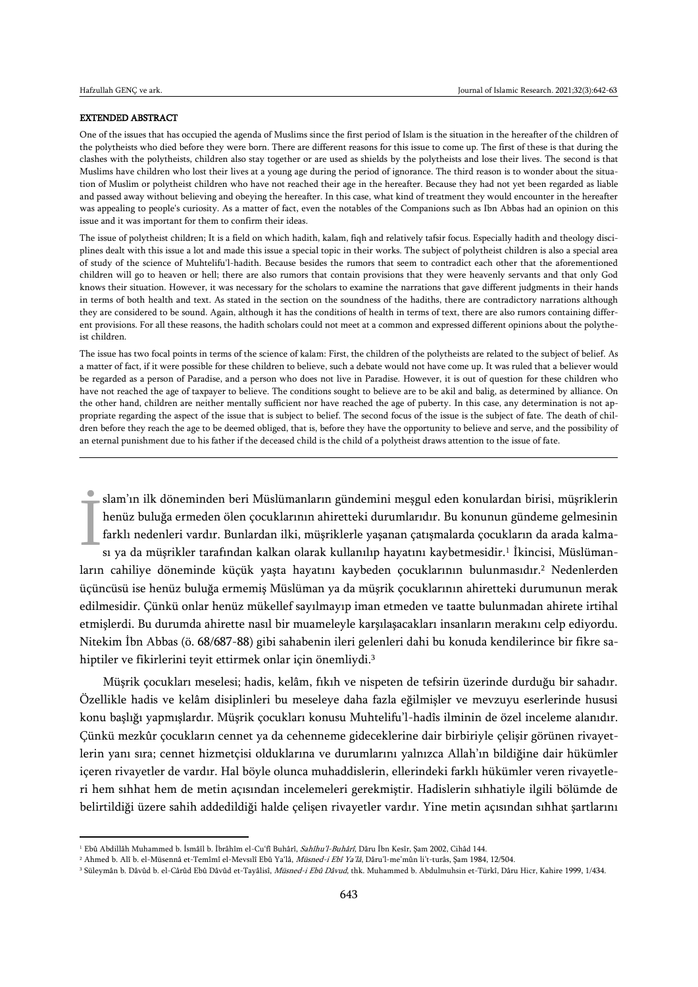$\overline{a}$ 

#### EXTENDED ABSTRACT

One of the issues that has occupied the agenda of Muslims since the first period of Islam is the situation in the hereafter of the children of the polytheists who died before they were born. There are different reasons for this issue to come up. The first of these is that during the clashes with the polytheists, children also stay together or are used as shields by the polytheists and lose their lives. The second is that Muslims have children who lost their lives at a young age during the period of ignorance. The third reason is to wonder about the situation of Muslim or polytheist children who have not reached their age in the hereafter. Because they had not yet been regarded as liable and passed away without believing and obeying the hereafter. In this case, what kind of treatment they would encounter in the hereafter was appealing to people's curiosity. As a matter of fact, even the notables of the Companions such as Ibn Abbas had an opinion on this issue and it was important for them to confirm their ideas.

The issue of polytheist children; It is a field on which hadith, kalam, fiqh and relatively tafsir focus. Especially hadith and theology disciplines dealt with this issue a lot and made this issue a special topic in their works. The subject of polytheist children is also a special area of study of the science of Muhtelifu'l-hadith. Because besides the rumors that seem to contradict each other that the aforementioned children will go to heaven or hell; there are also rumors that contain provisions that they were heavenly servants and that only God knows their situation. However, it was necessary for the scholars to examine the narrations that gave different judgments in their hands in terms of both health and text. As stated in the section on the soundness of the hadiths, there are contradictory narrations although they are considered to be sound. Again, although it has the conditions of health in terms of text, there are also rumors containing different provisions. For all these reasons, the hadith scholars could not meet at a common and expressed different opinions about the polytheist children.

The issue has two focal points in terms of the science of kalam: First, the children of the polytheists are related to the subject of belief. As a matter of fact, if it were possible for these children to believe, such a debate would not have come up. It was ruled that a believer would be regarded as a person of Paradise, and a person who does not live in Paradise. However, it is out of question for these children who have not reached the age of taxpayer to believe. The conditions sought to believe are to be akil and balig, as determined by alliance. On the other hand, children are neither mentally sufficient nor have reached the age of puberty. In this case, any determination is not appropriate regarding the aspect of the issue that is subject to belief. The second focus of the issue is the subject of fate. The death of children before they reach the age to be deemed obliged, that is, before they have the opportunity to believe and serve, and the possibility of an eternal punishment due to his father if the deceased child is the child of a polytheist draws attention to the issue of fate.

slam'ın ilk döneminden beri Müslümanların gündemini meşgul eden konulardan birisi, müşriklerin henüz buluğa ermeden ölen çocuklarının ahiretteki durumlarıdır. Bu konunun gündeme gelmesinin farklı nedenleri vardır. Bunlardan ilki, müşriklerle yaşanan çatışmalarda çocukların da arada kalması ya da müşrikler tarafından kalkan olarak kullanılıp hayatını kaybetmesidir.<sup>1</sup> İkincisi, Müslümanların cahiliye döneminde küçük yaşta hayatını kaybeden çocuklarının bulunmasıdır.<sup>2</sup> Nedenlerden üçüncüsü ise henüz buluğa ermemiş Müslüman ya da müşrik çocuklarının ahiretteki durumunun merak edilmesidir. Çünkü onlar henüz mükellef sayılmayıp iman etmeden ve taatte bulunmadan ahirete irtihal etmişlerdi. Bu durumda ahirette nasıl bir muameleyle karşılaşacakları insanların merakını celp ediyordu. Nitekim İbn Abbas (ö. 68/687-88) gibi sahabenin ileri gelenleri dahi bu konuda kendilerince bir fikre sahiptiler ve fikirlerini teyit ettirmek onlar için önemliydi.<sup>3</sup> İ

Müşrik çocukları meselesi; hadis, kelâm, fıkıh ve nispeten de tefsirin üzerinde durduğu bir sahadır. Özellikle hadis ve kelâm disiplinleri bu meseleye daha fazla eğilmişler ve mevzuyu eserlerinde hususi konu başlığı yapmışlardır. Müşrik çocukları konusu Muhtelifu'l-hadîs ilminin de özel inceleme alanıdır. Çünkü mezkûr çocukların cennet ya da cehenneme gideceklerine dair birbiriyle çelişir görünen rivayetlerin yanı sıra; cennet hizmetçisi olduklarına ve durumlarını yalnızca Allah'ın bildiğine dair hükümler içeren rivayetler de vardır. Hal böyle olunca muhaddislerin, ellerindeki farklı hükümler veren rivayetleri hem sıhhat hem de metin açısından incelemeleri gerekmiştir. Hadislerin sıhhatiyle ilgili bölümde de belirtildiği üzere sahih addedildiği halde çelişen rivayetler vardır. Yine metin açısından sıhhat şartlarını

<sup>&</sup>lt;sup>1</sup> Ebû Abdillâh Muhammed b. İsmâîl b. İbrâhîm el-Cu'fî Buhârî, Sahîhu'l-Buhârî, Dâru İbn Kesîr, Şam 2002, Cihâd 144.

<sup>&</sup>lt;sup>2</sup> Ahmed b. Alî b. el-Müsennâ et-Temîmî el-Mevsılî Ebû Ya'lâ, *Müsned-i Ebî Ya'lâ*, Dâru'l-me'mûn li't-turâs, Sam 1984, 12/504.

<sup>&</sup>lt;sup>3</sup> Süleymân b. Dâvûd b. el-Cârûd Ebû Dâvûd et-Tayâlisî, Müsned-i Ebû Dâvud, thk. Muhammed b. Abdulmuhsin et-Türkî, Dâru Hicr, Kahire 1999, 1/434.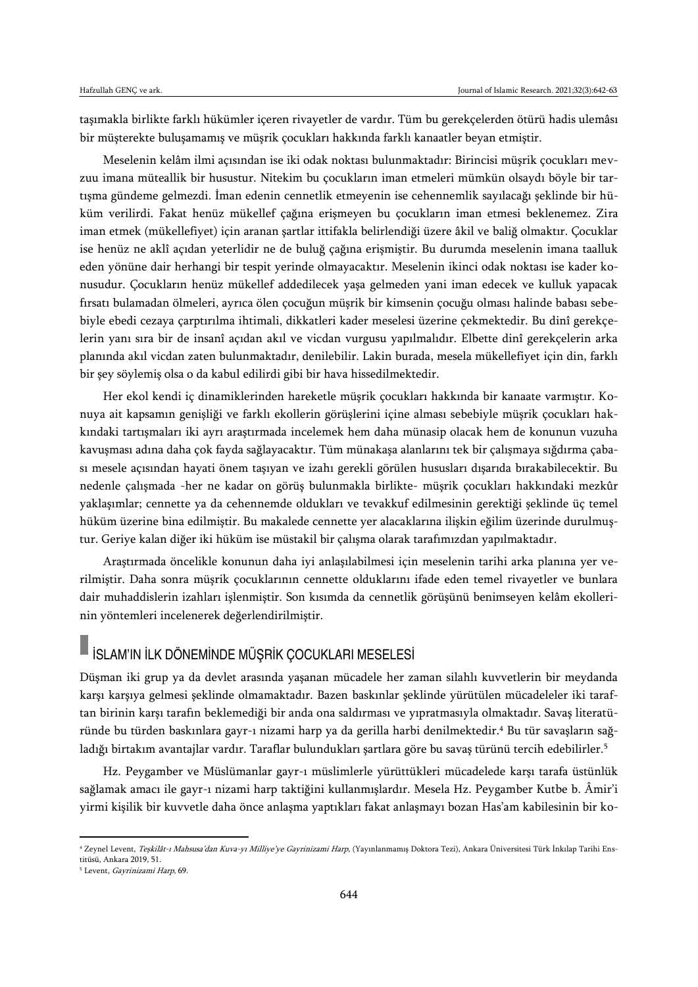taşımakla birlikte farklı hükümler içeren rivayetler de vardır. Tüm bu gerekçelerden ötürü hadis ulemâsı bir müşterekte buluşamamış ve müşrik çocukları hakkında farklı kanaatler beyan etmiştir.

Meselenin kelâm ilmi açısından ise iki odak noktası bulunmaktadır: Birincisi müşrik çocukları mevzuu imana müteallik bir husustur. Nitekim bu çocukların iman etmeleri mümkün olsaydı böyle bir tartışma gündeme gelmezdi. İman edenin cennetlik etmeyenin ise cehennemlik sayılacağı şeklinde bir hüküm verilirdi. Fakat henüz mükellef çağına erişmeyen bu çocukların iman etmesi beklenemez. Zira iman etmek (mükellefiyet) için aranan şartlar ittifakla belirlendiği üzere âkil ve baliğ olmaktır. Çocuklar ise henüz ne aklî açıdan yeterlidir ne de buluğ çağına erişmiştir. Bu durumda meselenin imana taalluk eden yönüne dair herhangi bir tespit yerinde olmayacaktır. Meselenin ikinci odak noktası ise kader konusudur. Çocukların henüz mükellef addedilecek yaşa gelmeden yani iman edecek ve kulluk yapacak fırsatı bulamadan ölmeleri, ayrıca ölen çocuğun müşrik bir kimsenin çocuğu olması halinde babası sebebiyle ebedi cezaya çarptırılma ihtimali, dikkatleri kader meselesi üzerine çekmektedir. Bu dinî gerekçelerin yanı sıra bir de insanî açıdan akıl ve vicdan vurgusu yapılmalıdır. Elbette dinî gerekçelerin arka planında akıl vicdan zaten bulunmaktadır, denilebilir. Lakin burada, mesela mükellefiyet için din, farklı bir şey söylemiş olsa o da kabul edilirdi gibi bir hava hissedilmektedir.

Her ekol kendi iç dinamiklerinden hareketle müşrik çocukları hakkında bir kanaate varmıştır. Konuya ait kapsamın genişliği ve farklı ekollerin görüşlerini içine alması sebebiyle müşrik çocukları hakkındaki tartışmaları iki ayrı araştırmada incelemek hem daha münasip olacak hem de konunun vuzuha kavuşması adına daha çok fayda sağlayacaktır. Tüm münakaşa alanlarını tek bir çalışmaya sığdırma çabası mesele açısından hayati önem taşıyan ve izahı gerekli görülen hususları dışarıda bırakabilecektir. Bu nedenle çalışmada -her ne kadar on görüş bulunmakla birlikte- müşrik çocukları hakkındaki mezkûr yaklaşımlar; cennette ya da cehennemde oldukları ve tevakkuf edilmesinin gerektiği şeklinde üç temel hüküm üzerine bina edilmiştir. Bu makalede cennette yer alacaklarına ilişkin eğilim üzerinde durulmuştur. Geriye kalan diğer iki hüküm ise müstakil bir çalışma olarak tarafımızdan yapılmaktadır.

Araştırmada öncelikle konunun daha iyi anlaşılabilmesi için meselenin tarihi arka planına yer verilmiştir. Daha sonra müşrik çocuklarının cennette olduklarını ifade eden temel rivayetler ve bunlara dair muhaddislerin izahları işlenmiştir. Son kısımda da cennetlik görüşünü benimseyen kelâm ekollerinin yöntemleri incelenerek değerlendirilmiştir.

# İSLAM'IN İLK DÖNEMİNDE MÜŞRİK ÇOCUKLARI MESELESİ

Düşman iki grup ya da devlet arasında yaşanan mücadele her zaman silahlı kuvvetlerin bir meydanda karşı karşıya gelmesi şeklinde olmamaktadır. Bazen baskınlar şeklinde yürütülen mücadeleler iki taraftan birinin karşı tarafın beklemediği bir anda ona saldırması ve yıpratmasıyla olmaktadır. Savaş literatüründe bu türden baskınlara gayr-ı nizami harp ya da gerilla harbi denilmektedir.<sup>4</sup> Bu tür savaşların sağladığı birtakım avantajlar vardır. Taraflar bulundukları şartlara göre bu savaş türünü tercih edebilirler.<sup>5</sup>

Hz. Peygamber ve Müslümanlar gayr-ı müslimlerle yürüttükleri mücadelede karşı tarafa üstünlük sağlamak amacı ile gayr-ı nizami harp taktiğini kullanmışlardır. Mesela Hz. Peygamber Kutbe b. Âmir'i yirmi kişilik bir kuvvetle daha önce anlaşma yaptıkları fakat anlaşmayı bozan Has'am kabilesinin bir ko-

<sup>4</sup> Zeynel Levent, Teşkilât-ı Mahsusa'dan Kuva-yı Milliye'ye Gayrinizami Harp, (Yayınlanmamış Doktora Tezi), Ankara Üniversitesi Türk İnkılap Tarihi Enstitüsü, Ankara 2019, 51.

<sup>&</sup>lt;sup>5</sup> Levent, Gayrinizami Harp, 69.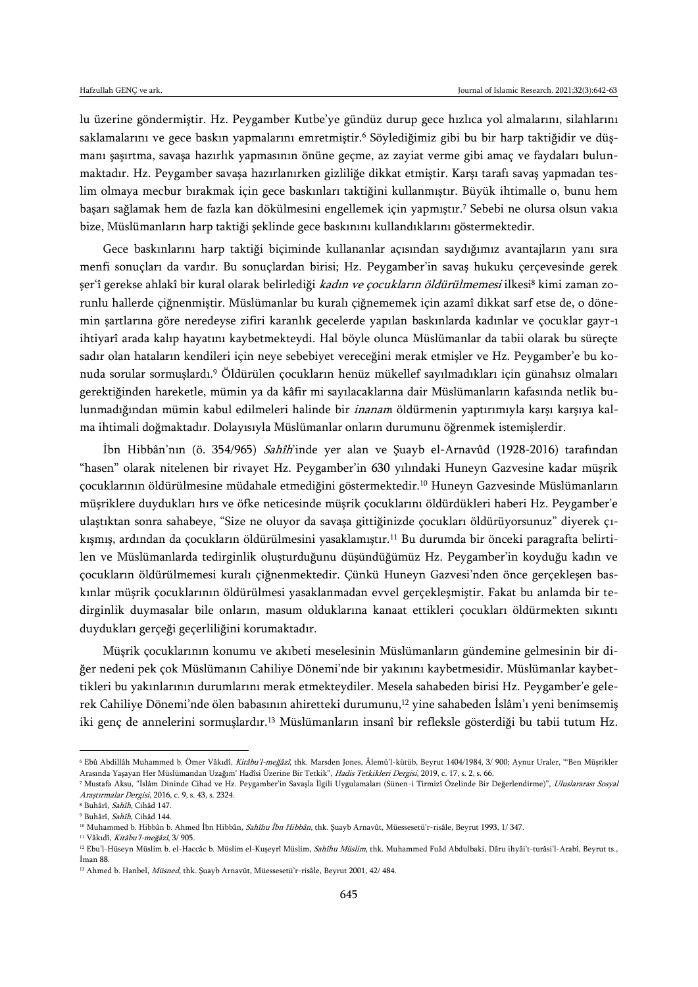lu üzerine göndermiştir. Hz. Peygamber Kutbe'ye gündüz durup gece hızlıca yol almalarını, silahlarını saklamalarını ve gece baskın yapmalarını emretmiştir.<sup>6</sup> Söylediğimiz gibi bu bir harp taktiğidir ve düşmanı şaşırtma, savaşa hazırlık yapmasının önüne geçme, az zayiat verme gibi amaç ve faydaları bulunmaktadır. Hz. Peygamber savaşa hazırlanırken gizliliğe dikkat etmiştir. Karşı tarafı savaş yapmadan teslim olmaya mecbur bırakmak için gece baskınları taktiğini kullanmıştır. Büyük ihtimalle o, bunu hem başarı sağlamak hem de fazla kan dökülmesini engellemek için yapmıştır.<sup>7</sup> Sebebi ne olursa olsun vakıa bize, Müslümanların harp taktiği şeklinde gece baskınını kullandıklarını göstermektedir.

Gece baskınlarını harp taktiği biçiminde kullananlar açısından saydığımız avantajların yanı sıra menfi sonuçları da vardır. Bu sonuçlardan birisi; Hz. Peygamber'in savaş hukuku çerçevesinde gerek şer'î gerekse ahlakî bir kural olarak belirlediği *kadın ve çocukların öldürülmemesi* ilkesi<sup>8</sup> kimi zaman zorunlu hallerde çiğnenmiştir. Müslümanlar bu kuralı çiğnememek için azamî dikkat sarf etse de, o dönemin şartlarına göre neredeyse zifiri karanlık gecelerde yapılan baskınlarda kadınlar ve çocuklar gayr-ı ihtiyarî arada kalıp hayatını kaybetmekteydi. Hal böyle olunca Müslümanlar da tabii olarak bu süreçte sadır olan hataların kendileri için neye sebebiyet vereceğini merak etmişler ve Hz. Peygamber'e bu konuda sorular sormuşlardı.<sup>9</sup> Öldürülen çocukların henüz mükellef sayılmadıkları için günahsız olmaları gerektiğinden hareketle, mümin ya da kâfir mi sayılacaklarına dair Müslümanların kafasında netlik bulunmadığından mümin kabul edilmeleri halinde bir inanam öldürmenin yaptırımıyla karşı karşıya kalma ihtimali doğmaktadır. Dolayısıyla Müslümanlar onların durumunu öğrenmek istemişlerdir.

İbn Hibbân'nın (ö. 354/965) Sahîh'inde yer alan ve Şuayb el-Arnavûd (1928-2016) tarafından "hasen" olarak nitelenen bir rivayet Hz. Peygamber'in 630 yılındaki Huneyn Gazvesine kadar müşrik çocuklarının öldürülmesine müdahale etmediğini göstermektedir.<sup>10</sup> Huneyn Gazvesinde Müslümanların müşriklere duydukları hırs ve öfke neticesinde müşrik çocuklarını öldürdükleri haberi Hz. Peygamber'e ulaştıktan sonra sahabeye, "Size ne oluyor da savaşa gittiğinizde çocukları öldürüyorsunuz" diyerek çıkışmış, ardından da çocukların öldürülmesini yasaklamıştır.<sup>11</sup> Bu durumda bir önceki paragrafta belirtilen ve Müslümanlarda tedirginlik oluşturduğunu düşündüğümüz Hz. Peygamber'in koyduğu kadın ve çocukların öldürülmemesi kuralı çiğnenmektedir. Çünkü Huneyn Gazvesi'nden önce gerçekleşen baskınlar müşrik çocuklarının öldürülmesi yasaklanmadan evvel gerçekleşmiştir. Fakat bu anlamda bir tedirginlik duymasalar bile onların, masum olduklarına kanaat ettikleri çocukları öldürmekten sıkıntı duydukları gerçeği geçerliliğini korumaktadır.

Müşrik çocuklarının konumu ve akıbeti meselesinin Müslümanların gündemine gelmesinin bir diğer nedeni pek çok Müslümanın Cahiliye Dönemi'nde bir yakınını kaybetmesidir. Müslümanlar kaybettikleri bu yakınlarının durumlarını merak etmekteydiler. Mesela sahabeden birisi Hz. Peygamber'e gelerek Cahiliye Dönemi'nde ölen babasının ahiretteki durumunu,<sup>12</sup> yine sahabeden İslâm'ı yeni benimsemiş iki genç de annelerini sormuşlardır.<sup>13</sup> Müslümanların insanî bir refleksle gösterdiği bu tabii tutum Hz.

 $\overline{a}$ 

<sup>11</sup> Vâkıdî, Kitâbu'l-meğâzî, 3/905.

<sup>6</sup> Ebû Abdillâh Muhammed b. Ömer Vâkıdî, Kitâbu'l-meğâzî, thk. Marsden Jones, Âlemü'l-kütüb, Beyrut 1404/1984, 3/ 900; Aynur Uraler, "'Ben Müşrikler Arasında Yaşayan Her Müslümandan Uzağım' Hadîsi Üzerine Bir Tetkik", Hadis Tetkikleri Dergisi, 2019, c. 17, s. 2, s. 66.

<sup>7</sup> Mustafa Aksu, "İslâm Dininde Cihad ve Hz. Peygamber'in Savaşla İlgili Uygulamaları (Sünen-i Tirmizî Özelinde Bir Değerlendirme)", Uluslararası Sosyal Araştırmalar Dergisi, 2016, c. 9, s. 43, s. 2324.

<sup>8</sup> Buhârî, Sahîh, Cihâd 147.

<sup>9</sup> Buhârî, Sahîh, Cihâd 144.

<sup>&</sup>lt;sup>10</sup> Muhammed b. Hibbân b. Ahmed İbn Hibbân, *Sahîhu İbn Hibbân*, thk. Şuayb Arnavût, Müessesetü'r-risâle, Beyrut 1993, 1/347.

<sup>&</sup>lt;sup>12</sup> Ebu'l-Hüseyn Müslim b. el-Haccâc b. Müslim el-Kuşeyrî Müslim, Sahîhu Müslim, thk. Muhammed Fuâd Abdulbaki, Dâru ihyâi't-turâsi'l-Arabî, Beyrut ts., İman 88.

<sup>&</sup>lt;sup>13</sup> Ahmed b. Hanbel, Müsned, thk. Şuayb Arnavût, Müessesetü'r-risâle, Beyrut 2001, 42/ 484.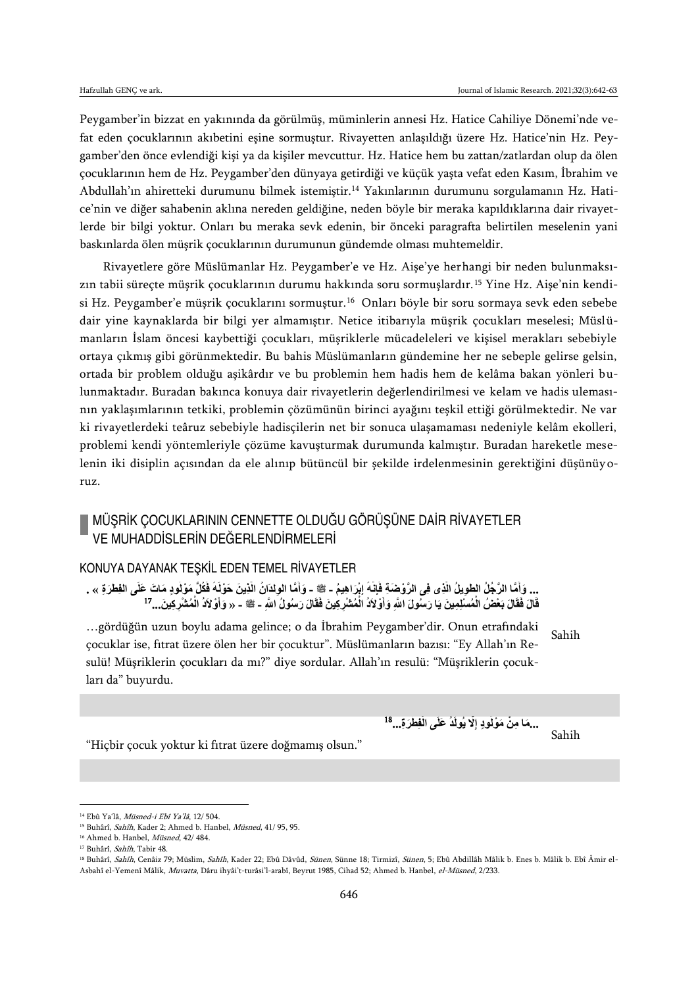Peygamber'in bizzat en yakınında da görülmüş, müminlerin annesi Hz. Hatice Cahiliye Dönemi'nde vefat eden çocuklarının akıbetini eşine sormuştur. Rivayetten anlaşıldığı üzere Hz. Hatice'nin Hz. Peygamber'den önce evlendiği kişi ya da kişiler mevcuttur. Hz. Hatice hem bu zattan/zatlardan olup da ölen çocuklarının hem de Hz. Peygamber'den dünyaya getirdiği ve küçük yaşta vefat eden Kasım, İbrahim ve Abdullah'ın ahiretteki durumunu bilmek istemiştir.<sup>14</sup> Yakınlarının durumunu sorgulamanın Hz. Hatice'nin ve diğer sahabenin aklına nereden geldiğine, neden böyle bir meraka kapıldıklarına dair rivayetlerde bir bilgi yoktur. Onları bu meraka sevk edenin, bir önceki paragrafta belirtilen meselenin yani baskınlarda ölen müşrik çocuklarının durumunun gündemde olması muhtemeldir.

Rivayetlere göre Müslümanlar Hz. Peygamber'e ve Hz. Aişe'ye herhangi bir neden bulunmaksızın tabii süreçte müşrik çocuklarının durumu hakkında soru sormuşlardır. <sup>15</sup> Yine Hz. Aişe'nin kendisi Hz. Peygamber'e müşrik çocuklarını sormuştur.<sup>16</sup> Onları böyle bir soru sormaya sevk eden sebebe dair yine kaynaklarda bir bilgi yer almamıştır. Netice itibarıyla müşrik çocukları meselesi; Müslümanların İslam öncesi kaybettiği çocukları, müşriklerle mücadeleleri ve kişisel merakları sebebiyle ortaya çıkmış gibi görünmektedir. Bu bahis Müslümanların gündemine her ne sebeple gelirse gelsin, ortada bir problem olduğu aşikârdır ve bu problemin hem hadis hem de kelâma bakan yönleri bulunmaktadır. Buradan bakınca konuya dair rivayetlerin değerlendirilmesi ve kelam ve hadis ulemasının yaklaşımlarının tetkiki, problemin çözümünün birinci ayağını teşkil ettiği görülmektedir. Ne var ki rivayetlerdeki teâruz sebebiyle hadisçilerin net bir sonuca ulaşamaması nedeniyle kelâm ekolleri, problemi kendi yöntemleriyle çözüme kavuşturmak durumunda kalmıştır. Buradan hareketle meselenin iki disiplin açısından da ele alınıp bütüncül bir şekilde irdelenmesinin gerektiğini düşünüyoruz.

# MÜŞRİK ÇOCUKLARININ CENNETTE OLDUĞU GÖRÜŞÜNE DAİR RİVAYETLER VE MUHADDİSLERİN DEĞERLENDİRMELERİ

## KONUYA DAYANAK TEŞKİL EDEN TEMEL RİVAYETLER

... وَأِمَّا الرَّجُلُ الطَّوِيلُ الَّذِى فِى الرَّوْضِةِ فَإِنَّهُ إِبْرَاهِيمُ - ﷺ - وَأَمَّا الْوِلْدَانُ الَّذِينَ حَوْلَهُ فَكُلَّ مَوْلَودِ مَاتَ عَلَى الْفِطْرَةِ » . **إِ َّ ْ َّ ْ ْ َ** قَالَ فَقَالَ بَعْضُ الْمُسْلِمِينَ يَا رَسُولَ اللَّهِ وَأَوْلاَدُ الْمُشْرِكِينَ فَقَالَ رَسُولُ اللَّهِ - ﷺ - « وَأَوْلاَدُ الْمُشْرِكِينَ...<sup>17</sup> **ْ َ ْ ْ َ**

Sahih …gördüğün uzun boylu adama gelince; o da İbrahim Peygamber'dir. Onun etrafındaki çocuklar ise, fıtrat üzere ölen her bir çocuktur". Müslümanların bazısı: "Ey Allah'ın Resulü! Müşriklerin çocukları da mı?" diye sordular. Allah'ın resulü: "Müşriklerin çocukları da" buyurdu.

> **ِف ْط ... َر ِة َّال يُولَدُ َعلَى ال ُوٍد إِ َما ِم ... ْن َم ْول** 18 **ْ**

Sahih

"Hiçbir çocuk yoktur ki fıtrat üzere doğmamış olsun."

<sup>14</sup> Ebû Ya'lâ, Müsned-i Ebî Ya'lâ, 12/ 504.

<sup>&</sup>lt;sup>15</sup> Buhârî, Sahîh, Kader 2; Ahmed b. Hanbel, Müsned, 41/ 95, 95.

<sup>&</sup>lt;sup>16</sup> Ahmed b. Hanbel, *Müsned*, 42/ 484.

<sup>&</sup>lt;sup>17</sup> Buhârî, Sahîh, Tabir 48.

<sup>&</sup>lt;sup>18</sup> Buhârî, Sahîh, Cenâiz 79; Müslim, Sahîh, Kader 22; Ebû Dâvûd, Sünen, Sünne 18; Tirmizî, Sünen, 5; Ebû Abdillâh Mâlik b. Enes b. Mâlik b. Ebî Âmir el-Asbahî el-Yemenî Mâlik, Muvatta, Dâru ihyâi't-turâsi'l-arabî, Beyrut 1985, Cihad 52; Ahmed b. Hanbel, el-Müsned, 2/233.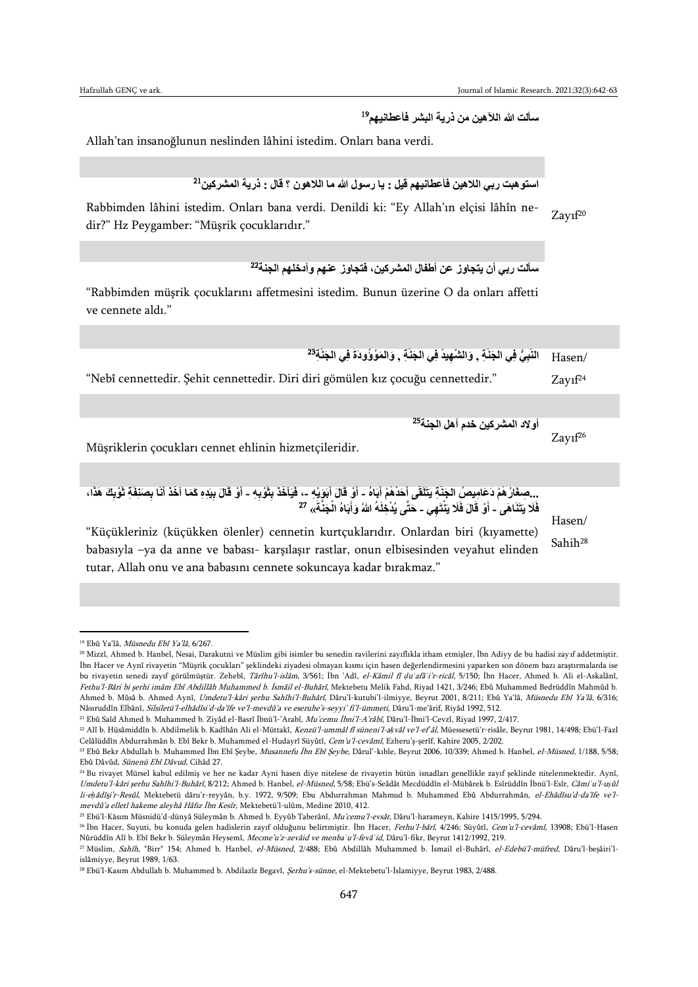19 **سألت هللا الآلهين من ذرية البشر فأعطانيهم**

Allah'tan insanoğlunun neslinden lâhini istedim. Onları bana verdi.

```
استو هبت ربي اللاهين فأعطانيهم قيل : يا رسول الله ما اللاهون ؟ قال : ذرية المشركين<sup>21</sup>
```
 $Zay1f20$ Rabbimden lâhini istedim. Onları bana verdi. Denildi ki: "Ey Allah'ın elçisi lâhîn nedir?" Hz Peygamber: "Müşrik çocuklarıdır."

22 **سألت ربي أن يتجاوز عن أطفال المشركين، فتجاوز عنهم وأدخلهم الجنة**

"Rabbimden müşrik çocuklarını affetmesini istedim. Bunun üzerine O da onları affetti ve cennete aldı."

/Hasen النَّبِيُّ فِي الْجَنَّةِ , وَالشَّهِيدُ فِي الْجَنَّةِ , وَالْمَوْوُودَةَ فِي الْجَنَّةِ<sup>23</sup> **ْ ْ ْ ْ** "Nebî cennettedir. Şehit cennettedir. Diri diri gömülen kız çocuğu cennettedir." Zayıf<sup>24</sup> 25 **أوالد المشركين خدم أهل الجنة** Zayıf<sup>26</sup> Müşriklerin çocukları cennet ehlinin hizmetçileridir. ...صِغَارُ هُمْ دَعَامِيصُ الْجَنْةِ يَتَلَقَى أَحَدُهُمْ أَبَاهُ - أَوْ قَالَ أَبَوَيْهِ -، فَيَأْخَذ بِثَوْبِهِ - أَوْ قَالَ بِيَدِهِ كَمَا آخَذ أَنَا بِصَنَفَةِ ثَوْبِكَ هَذَا، **َ َ ْ َ ِ ْ ِ َ َ** فَلَا يَتَنَاهَى ـ أَوْ قَالَ فَلَا يَنْتَهِي ـ حَتَّى يُدْخِلَهُ اللهُ وَأَبَاهُ الْجَنَّةَ)، <sup>27</sup> **ْ َ** Hasen/ Sahih<sup>28</sup> "Küçükleriniz (küçükken ölenler) cennetin kurtçuklarıdır. Onlardan biri (kıyamette) babasıyla –ya da anne ve babası- karşılaşır rastlar, onun elbisesinden veyahut elinden tutar, Allah onu ve ana babasını cennete sokuncaya kadar bırakmaz."

 $\overline{a}$ 

<sup>21</sup> Ebû Saîd Ahmed b. Muhammed b. Ziyâd el-Basrî İbnü'l-'Arabî, Mu'cemu İbni'l-A'râbî, Dâru'l-İbni'l-Cevzî, Riyad 1997, 2/417.

<sup>25</sup> Ebü'l-Kāsım Müsnidü'd-dünyâ Süleymân b. Ahmed b. Eyyûb Taberânî, Mu'cemu'l-evsât, Dâru'l-harameyn, Kahire 1415/1995, 5/294.

<sup>19</sup> Ebû Ya'lâ, Müsnedu Ebî Ya'lâ, 6/267.

<sup>20</sup> Mizzî, Ahmed b. Hanbel, Nesai, Darakutni ve Müslim gibi isimler bu senedin ravilerini zayıflıkla itham etmişler, İbn Adiyy de bu hadisi zayıf addetmiştir. İbn Hacer ve Aynî rivayetin "Müşrik çocukları" şeklindeki ziyadesi olmayan kısmı için hasen değerlendirmesini yaparken son dönem bazı araştırmalarda ise bu rivayetin senedi zayıf görülmüştür. Zehebî, Târîhu'l-islâm, 3/561; İbn 'Adî, el-Kâmil fî *ḍ*u*ʿ*afâ*ʾ*i'r-ricâl, 5/150; İbn Hacer, Ahmed b. Ali el-Askalânî, Fethu'l-Bâri bi şerhi imâm Ebî Abdillâh Muhammed b. İsmâil el-Buhârî, Mektebetu Melik Fahd, Riyad 1421, 3/246; Ebû Muhammed Bedrüddîn Mahmûd b. Ahmed b. Mûsâ b. Ahmed Aynî, Umdetu'l-kâri şerhu Sahîhi'l-Buhârî, Dâru'l-kutubi'l-ilmiyye, Beyrut 2001, 8/211; Ebû Ya'lâ, Müsnedu Ebî Ya'lâ, 6/316; Nâsıruddîn Elbânî, Silsiletü'l-elhâdîsi'd-da'îfe ve'l-mevdû'a ve eseruhe's-seyyi' fi'l-ümmeti, Dâru'l-me'ârif, Riyâd 1992, 512.

<sup>22</sup> Alî b. Hüsâmiddîn b. Abdilmelik b. Kadîhân Ali el-Müttakî, Kenzü'l-ummâl fî süneni'l-a*ḳ*vâl ve'l-ef*ʿ*âl, Müessesetü'r-risâle, Beyrut 1981, 14/498; Ebü'l-Fazl Celâlüddîn Abdurrahmân b. Ebî Bekr b. Muhammed el-Hudayrî Süyûtî, Cem'u'l-cevâmî, Ezheru'ş-şerîf, Kahire 2005, 2/202.

<sup>&</sup>lt;sup>23</sup> Ebû Bekr Abdullah b. Muhammed İbn Ebî Şeybe, Musannefu İbn Ebî Şeybe, Dârul'-kıble, Beyrut 2006, 10/339; Ahmed b. Hanbel, el-Müsned, 1/188, 5/58; Ebû Dâvûd, Sünenü Ebî Dâvud, Cihâd 27.

<sup>24</sup> Bu rivayet Mürsel kabul edilmiş ve her ne kadar Ayni hasen diye nitelese de rivayetin bütün isnadları genellikle zayıf şeklinde nitelenmektedir. Aynî, Umdetu'l-kâri şerhu Sahîhi'l-Buhârî, 8/212; Ahmed b. Hanbel, el-Müsned, 5/58; Ebü's-Seâdât Mecdüddîn el-Mübârek b. Esîrüddîn İbnü'l-Esîr, Câmi*ʿ*u'l-u*ṣ*ûl li-e*ḥ*âdîsi'r-Resûl, Mektebetü dâru'r-reyyân, b.y. 1972, 9/509; Ebu Abdurrahman Mahmud b. Muhammed Ebû Abdurrahmân, el-Ehâdîsu'd-da'îfe ve'l<sup>m</sup>evdû'a elletî hakeme aleyhâ Hâfız İbn Kesîr, Mektebetü'l-ulûm, Medine 2010, 412.

<sup>&</sup>lt;sup>26</sup> İbn Hacer, Suyuti, bu konuda gelen hadislerin zayıf olduğunu belirtmiştir. İbn Hacer, Fethu'l-bârî, 4/246; Süyûtî, Cem'u'l-cevâmî, 13908; Ebü'l-Hasen Nûrüddîn Alî b. Ebî Bekr b. Süleymân Heysemî, Mecme'u'z-zevâid ve menba*ʿ*u'l-fevâ*ʾ*id, Dâru'l-fikr, Beyrut 1412/1992, 219.

<sup>27</sup> Müslim, Sahîh, "Birr" 154; Ahmed b. Hanbel, el-Müsned, 2/488; Ebû Abdillâh Muhammed b. İsmail el-Buhârî, el-Edebü'l-müfred, Dâru'l-beşâiri'lislâmiyye, Beyrut 1989, 1/63.

<sup>&</sup>lt;sup>28</sup> Ebü'l-Kasım Abdullah b. Muhammed b. Abdilazîz Begavî, Şerhu's-sünne, el-Mektebetu'l-İslamiyye, Beyrut 1983, 2/488.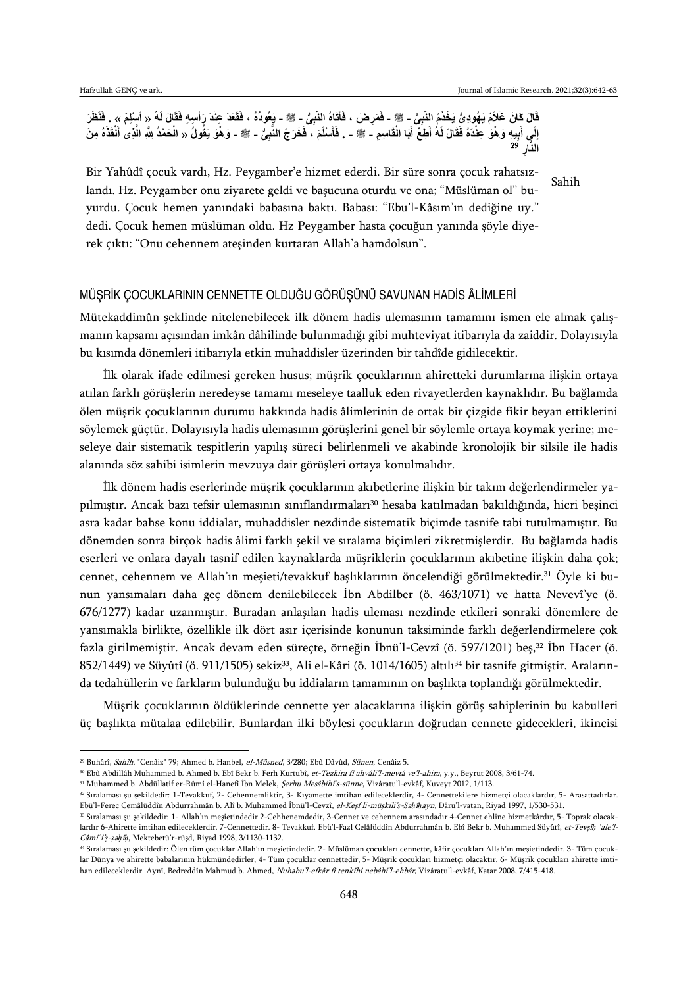#### قَالَ كَانَ غَلاَمٌ يَهُودِيٍّ يَخْدُمُ النَّبِيِّ - ﷺ - فَمَرِ مَنَ ، فَأَتَاهُ النَّبِيُّ - ﷺ - يَعُودُهُ ، فَقَعَدَ عِنْدَ رَأْسِهِ فَقَالَ لَهُ « أَسْلِمْ » . فَنَظَرَ **َ ْ َ** إِلَي أَبِيهِ وَهُوَ عِنْدَهُ فَقَالَ لَهُ أَطِعْ أَبَا الْقَاسِمِ - ﷺ - فَأَسْلَمَ ، فَخَرَجَ النَّبِئُ - ﷺ - وَهُوَ يَقُولُ « الْحَمْدُ لِلَّهِ الَّذِى أَنْقَذَهُ مِنَ **َ ْ َ َ ْ َ َ َّ ْ ِر ا النَّ** 29

Sahih Bir Yahûdî çocuk vardı, Hz. Peygamber'e hizmet ederdi. Bir süre sonra çocuk rahatsızlandı. Hz. Peygamber onu ziyarete geldi ve başucuna oturdu ve ona; "Müslüman ol" buyurdu. Çocuk hemen yanındaki babasına baktı. Babası: "Ebu'l-Kâsım'ın dediğine uy." dedi. Çocuk hemen müslüman oldu. Hz Peygamber hasta çocuğun yanında şöyle diyerek çıktı: "Onu cehennem ateşinden kurtaran Allah'a hamdolsun".

# MÜŞRİK ÇOCUKLARININ CENNETTE OLDUĞU GÖRÜŞÜNÜ SAVUNAN HADİS ÂLİMLERİ

Mütekaddimûn şeklinde nitelenebilecek ilk dönem hadis ulemasının tamamını ismen ele almak çalışmanın kapsamı açısından imkân dâhilinde bulunmadığı gibi muhteviyat itibarıyla da zaiddir. Dolayısıyla bu kısımda dönemleri itibarıyla etkin muhaddisler üzerinden bir tahdîde gidilecektir.

İlk olarak ifade edilmesi gereken husus; müşrik çocuklarının ahiretteki durumlarına ilişkin ortaya atılan farklı görüşlerin neredeyse tamamı meseleye taalluk eden rivayetlerden kaynaklıdır. Bu bağlamda ölen müşrik çocuklarının durumu hakkında hadis âlimlerinin de ortak bir çizgide fikir beyan ettiklerini söylemek güçtür. Dolayısıyla hadis ulemasının görüşlerini genel bir söylemle ortaya koymak yerine; meseleye dair sistematik tespitlerin yapılış süreci belirlenmeli ve akabinde kronolojik bir silsile ile hadis alanında söz sahibi isimlerin mevzuya dair görüşleri ortaya konulmalıdır.

İlk dönem hadis eserlerinde müşrik çocuklarının akıbetlerine ilişkin bir takım değerlendirmeler yapılmıştır. Ancak bazı tefsir ulemasının sınıflandırmaları<sup>30</sup> hesaba katılmadan bakıldığında, hicri beşinci asra kadar bahse konu iddialar, muhaddisler nezdinde sistematik biçimde tasnife tabi tutulmamıştır. Bu dönemden sonra birçok hadis âlimi farklı şekil ve sıralama biçimleri zikretmişlerdir. Bu bağlamda hadis eserleri ve onlara dayalı tasnif edilen kaynaklarda müşriklerin çocuklarının akıbetine ilişkin daha çok; cennet, cehennem ve Allah'ın meşieti/tevakkuf başlıklarının öncelendiği görülmektedir.<sup>31</sup> Öyle ki bunun yansımaları daha geç dönem denilebilecek İbn Abdilber (ö. 463/1071) ve hatta Nevevî'ye (ö. 676/1277) kadar uzanmıştır. Buradan anlaşılan hadis uleması nezdinde etkileri sonraki dönemlere de yansımakla birlikte, özellikle ilk dört asır içerisinde konunun taksiminde farklı değerlendirmelere çok fazla girilmemiştir. Ancak devam eden süreçte, örneğin İbnü'l-Cevzî (ö. 597/1201) beş,<sup>32</sup> İbn Hacer (ö. 852/1449) ve Süyûtî (ö. 911/1505) sekiz<sup>33</sup>, Ali el-Kâri (ö. 1014/1605) altılı<sup>34</sup> bir tasnife gitmiştir. Aralarında tedahüllerin ve farkların bulunduğu bu iddiaların tamamının on başlıkta toplandığı görülmektedir.

Müşrik çocuklarının öldüklerinde cennette yer alacaklarına ilişkin görüş sahiplerinin bu kabulleri üç başlıkta mütalaa edilebilir. Bunlardan ilki böylesi çocukların doğrudan cennete gidecekleri, ikincisi

<sup>&</sup>lt;sup>29</sup> Buhârî, Sahîh, "Cenâiz" 79; Ahmed b. Hanbel, el-Müsned, 3/280; Ebû Dâvûd, Sünen, Cenâiz 5.

<sup>&</sup>lt;sup>30</sup> Ebû Abdillâh Muhammed b. Ahmed b. Ebî Bekr b. Ferh Kurtubî, et-Tezkira fî ahvâli'l-mevtâ ve'l-ahira, y.y., Beyrut 2008, 3/61-74.

<sup>&</sup>lt;sup>31</sup> Muhammed b. Abdüllatif er-Rûmî el-Hanefî İbn Melek, *Şerhu Mesâbihi's-sünne*, Vizâratu'l-evkâf, Kuveyt 2012, 1/113.

<sup>32</sup> Sıralaması şu şekildedir: 1-Tevakkuf, 2- Cehennemliktir, 3- Kıyamette imtihan edileceklerdir, 4- Cennettekilere hizmetçi olacaklardır, 5- Arasattadırlar. Ebü'l-Ferec Cemâlüddîn Abdurrahmân b. Alî b. Muhammed İbnü'l-Cevzî, el-Keşf li-müşkili'*ṣ*-*Ṣ*a*ḥ*î*ḥ*ayn, Dâru'l-vatan, Riyad 1997, 1/530-531.

<sup>33</sup> Sıralaması şu şekildedir: 1- Allah'ın meşietindedir 2-Cehhenemdedir, 3-Cennet ve cehennem arasındadır 4-Cennet ehline hizmetkârdır, 5- Toprak olacaklardır 6-Ahirette imtihan edileceklerdir. 7-Cennettedir. 8- Tevakkuf. Ebü'l-Fazl Celâlüddîn Abdurrahmân b. Ebî Bekr b. Muhammed Süyûtî, et-Tevşî*ḥ ʿ*ale'l-Câmi*ʿ*i'*ṣ*-*ṣ*a*ḥ*î*ḥ*, Mektebetü'r-rüşd, Riyad 1998, 3/1130-1132.

<sup>34</sup> Sıralaması şu şekildedir: Ölen tüm çocuklar Allah'ın meşietindedir. 2- Müslüman çocukları cennette, kâfir çocukları Allah'ın meşietindedir. 3- Tüm çocuklar Dünya ve ahirette babalarının hükmündedirler, 4- Tüm çocuklar cennettedir, 5- Müşrik çocukları hizmetçi olacaktır. 6- Müşrik çocukları ahirette imtihan edileceklerdir. Aynî, Bedreddîn Mahmud b. Ahmed, Nuhabu'l-efkâr fî tenkîhi nebâhi'l-ehbâr, Vizâratu'l-evkâf, Katar 2008, 7/415-418.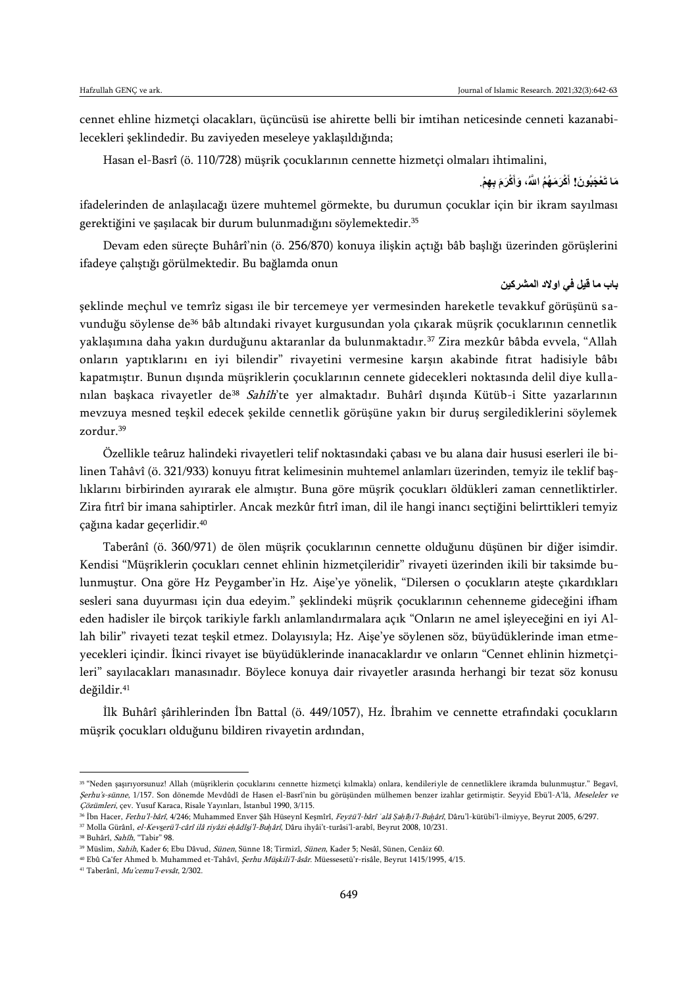cennet ehline hizmetçi olacakları, üçüncüsü ise ahirette belli bir imtihan neticesinde cenneti kazanabilecekleri şeklindedir. Bu zaviyeden meseleye yaklaşıldığında;

Hasan el-Basrî (ö. 110/728) müşrik çocuklarının cennette hizmetçi olmaları ihtimalini,

**ِ ِه َما تَ ْع َجبُو َن! ْم َ ْكَر َم ب َ ْكَر َم ُه ُم ا ََّّلل،ُ َوأ أ** .

ifadelerinden de anlaşılacağı üzere muhtemel görmekte, bu durumun çocuklar için bir ikram sayılması gerektiğini ve şaşılacak bir durum bulunmadığını söylemektedir.<sup>35</sup>

Devam eden süreçte Buhârî'nin (ö. 256/870) konuya ilişkin açtığı bâb başlığı üzerinden görüşlerini ifadeye çalıştığı görülmektedir. Bu bağlamda onun

### **باب ما قيل في اوالد المشركين**

şeklinde meçhul ve temrîz sigası ile bir tercemeye yer vermesinden hareketle tevakkuf görüşünü s avunduğu söylense de<sup>36</sup> bâb altındaki rivayet kurgusundan yola çıkarak müşrik çocuklarının cennetlik yaklaşımına daha yakın durduğunu aktaranlar da bulunmaktadır.<sup>37</sup> Zira mezkûr bâbda evvela, "Allah onların yaptıklarını en iyi bilendir" rivayetini vermesine karşın akabinde fıtrat hadisiyle bâbı kapatmıştır. Bunun dışında müşriklerin çocuklarının cennete gidecekleri noktasında delil diye kull anılan başkaca rivayetler de<sup>38</sup> Sahîh'te yer almaktadır. Buhârî dışında Kütüb-i Sitte yazarlarının mevzuya mesned teşkil edecek şekilde cennetlik görüşüne yakın bir duruş sergilediklerini söylemek zordur.<sup>39</sup>

Özellikle teâruz halindeki rivayetleri telif noktasındaki çabası ve bu alana dair hususi eserleri ile bilinen Tahâvî (ö. 321/933) konuyu fıtrat kelimesinin muhtemel anlamları üzerinden, temyiz ile teklif başlıklarını birbirinden ayırarak ele almıştır. Buna göre müşrik çocukları öldükleri zaman cennetliktirler. Zira fıtrî bir imana sahiptirler. Ancak mezkûr fıtrî iman, dil ile hangi inancı seçtiğini belirttikleri temyiz çağına kadar geçerlidir.<sup>40</sup>

Taberânî (ö. 360/971) de ölen müşrik çocuklarının cennette olduğunu düşünen bir diğer isimdir. Kendisi "Müşriklerin çocukları cennet ehlinin hizmetçileridir" rivayeti üzerinden ikili bir taksimde bulunmuştur. Ona göre Hz Peygamber'in Hz. Aişe'ye yönelik, "Dilersen o çocukların ateşte çıkardıkları sesleri sana duyurması için dua edeyim." şeklindeki müşrik çocuklarının cehenneme gideceğini ifham eden hadisler ile birçok tarikiyle farklı anlamlandırmalara açık "Onların ne amel işleyeceğini en iyi Allah bilir" rivayeti tezat teşkil etmez. Dolayısıyla; Hz. Aişe'ye söylenen söz, büyüdüklerinde iman etmeyecekleri içindir. İkinci rivayet ise büyüdüklerinde inanacaklardır ve onların "Cennet ehlinin hizmetçileri" sayılacakları manasınadır. Böylece konuya dair rivayetler arasında herhangi bir tezat söz konusu değildir.<sup>41</sup>

İlk Buhârî şârihlerinden İbn Battal (ö. 449/1057), Hz. İbrahim ve cennette etrafındaki çocukların müşrik çocukları olduğunu bildiren rivayetin ardından,

<sup>35</sup> "Neden şaşırıyorsunuz! Allah (müşriklerin çocuklarını cennette hizmetçi kılmakla) onlara, kendileriyle de cennetliklere ikramda bulunmuştur." Begavî, Şerhu's-sünne, 1/157. Son dönemde Mevdûdî de Hasen el-Basrî'nin bu görüşünden mülhemen benzer izahlar getirmiştir. Seyyid Ebü'l-A'lâ, Meseleler ve Çözümleri, çev. Yusuf Karaca, Risale Yayınları, İstanbul 1990, 3/115.

<sup>36</sup> İbn Hacer, Fethu'l-bârî, 4/246; Muhammed Enver Şâh Hüseynî Keşmîrî, Feyżü'l-bârî *ʿ*alâ *Ṣ*a*ḥ*î*ḥ*i'l-Bu*ḫ*ârî, Dâru'l-kütübi'l-ilmiyye, Beyrut 2005, 6/297.

<sup>37</sup> Molla Gürânî, el-Kevserü'l-cârî ilâ riyâżi e*ḥ*âdîsi'l-Bu*ḫ*ârî, Dâru ihyâi't-turâsi'l-arabî, Beyrut 2008, 10/231.

<sup>&</sup>lt;sup>38</sup> Buhârî, Sahîh, "Tabir" 98.

<sup>&</sup>lt;sup>39</sup> Müslim, Sahih, Kader 6; Ebu Dâvud, Sünen, Sünne 18; Tirmizî, Sünen, Kader 5; Nesâî, Sünen, Cenâiz 60.

<sup>40</sup> Ebû Ca'fer Ahmed b. Muhammed et-Tahâvî, Şerhu Müşkili'l-âsâr. Müessesetü'r-risâle, Beyrut 1415/1995, 4/15.

<sup>41</sup> Taberânî, Mu'cemu'l-evsât, 2/302.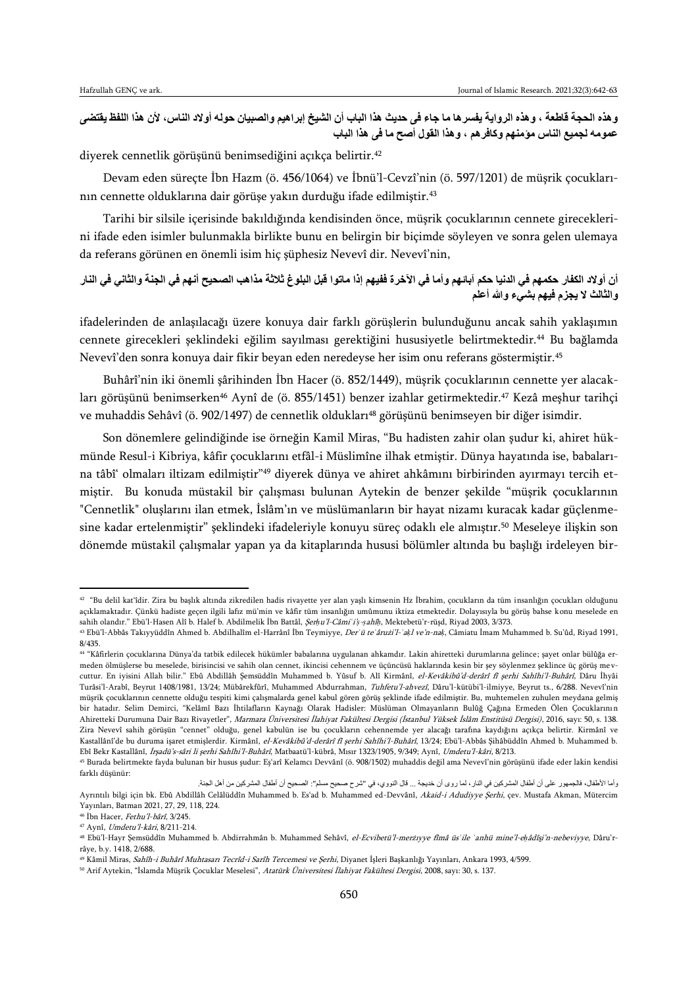**وهذه الحجة قاطعة ، وهذه الرواية يفسرها ما جاء فى حديث هذا الباب أن الشيخ إبراهيم والصبيان حوله أوالد الناس، ألن هذا اللفظ يقتضى عمومه لجميع الناس مؤمنهم وكافرهم ، وهذا القول أصح ما فى هذا الباب** 

diyerek cennetlik görüşünü benimsediğini açıkça belirtir.<sup>42</sup>

Devam eden süreçte İbn Hazm (ö. 456/1064) ve İbnü'l-Cevzî'nin (ö. 597/1201) de müşrik çocuklarının cennette olduklarına dair görüşe yakın durduğu ifade edilmiştir.<sup>43</sup>

Tarihi bir silsile içerisinde bakıldığında kendisinden önce, müşrik çocuklarının cennete gireceklerini ifade eden isimler bulunmakla birlikte bunu en belirgin bir biçimde söyleyen ve sonra gelen ulemaya da referans görünen en önemli isim hiç şüphesiz Nevevî dir. Nevevî'nin,

# **أن أوالد الكفار حكمهم في الدنيا حكم آبائهم وأما في اآلخرة ففيهم إذا ماتوا قبل البلوغ ثالثة مذاهب الصحيح أنهم في الجنة والثاني في النار والثالث ال يجزم فيهم بشيء وهللا أعلم**

ifadelerinden de anlaşılacağı üzere konuya dair farklı görüşlerin bulunduğunu ancak sahih yaklaşımın cennete girecekleri şeklindeki eğilim sayılması gerektiğini hususiyetle belirtmektedir.<sup>44</sup> Bu bağlamda Nevevî'den sonra konuya dair fikir beyan eden neredeyse her isim onu referans göstermiştir.<sup>45</sup>

Buhârî'nin iki önemli şârihinden İbn Hacer (ö. 852/1449), müşrik çocuklarının cennette yer alacakları görüşünü benimserken<sup>46</sup> Aynî de (ö. 855/1451) benzer izahlar getirmektedir.<sup>47</sup> Kezâ meşhur tarihçi ve muhaddis Sehâvî (ö. 902/1497) de cennetlik oldukları<sup>48</sup> görüşünü benimseyen bir diğer isimdir.

Son dönemlere gelindiğinde ise örneğin Kamil Miras, "Bu hadisten zahir olan şudur ki, ahiret hükmünde Resul-i Kibriya, kâfir çocuklarını etfâl-i Müslimîne ilhak etmiştir. Dünya hayatında ise, babalarına tâbî' olmaları iltizam edilmiştir"<sup>49</sup> diyerek dünya ve ahiret ahkâmını birbirinden ayırmayı tercih etmiştir. Bu konuda müstakil bir çalışması bulunan Aytekin de benzer şekilde "müşrik çocuklarının "Cennetlik" oluşlarını ilan etmek, İslâm'ın ve müslümanların bir hayat nizamı kuracak kadar güçlenmesine kadar ertelenmiştir" şeklindeki ifadeleriyle konuyu süreç odaklı ele almıştır.<sup>50</sup> Meseleye ilişkin son dönemde müstakil çalışmalar yapan ya da kitaplarında hususi bölümler altında bu başlığı irdeleyen bir-

Yayınları, Batman 2021, 27, 29, 118, 224.

<sup>42</sup> "Bu delil kat'îdir. Zira bu başlık altında zikredilen hadis rivayette yer alan yaşlı kimsenin Hz İbrahim, çocukların da tüm insanlığın çocukları olduğunu açıklamaktadır. Çünkü hadiste geçen ilgili lafız mü'min ve kâfir tüm insanlığın umûmunu iktiza etmektedir. Dolayısıyla bu görüş bahse konu meselede en sahih olandır." Ebü'l-Hasen Alî b. Halef b. Abdilmelik İbn Battâl, Şer*ḥ*u'l-Câmi*ʿ*i'*ṣ*-*ṣ*ahî*ḥ*, Mektebetü'r-rüşd, Riyad 2003, 3/373.

<sup>43</sup> Ebü'l-Abbâs Takıyyüddîn Ahmed b. Abdilhalîm el-Harrânî İbn Teymiyye, Der*ʾ*ü te*ʿ*ârużi'l-*ʿ*a*ḳ*l ve'n-na*ḳ*, Câmiatu İmam Muhammed b. Su'ûd, Riyad 1991, 8/435.

<sup>44</sup> "Kâfirlerin çocuklarına Dünya'da tatbik edilecek hükümler babalarına uygulanan ahkamdır. Lakin ahiretteki durumlarına gelince; şayet onlar bülûğa ermeden ölmüşlerse bu meselede, birisincisi ve sahih olan cennet, ikincisi cehennem ve üçüncüsü haklarında kesin bir şey söylenmez şeklince üç görüş mevcuttur. En iyisini Allah bilir." Ebû Abdillâh Semsüddîn Muhammed b. Yûsuf b. Alî Kirmânî, el-Kevâkibû'd-derârî fî şerhi Sahîhi'l-Buhârî, Dâru İhyâi Turâsi'l-Arabî, Beyrut 1408/1981, 13/24; Mübârekfûrî, Muhammed Abdurrahman, Tuhfetu'l-ahvezî, Dâru'l-kütübi'l-ilmiyye, Beyrut ts., 6/288. Nevevî'nin müşrik çocuklarının cennette olduğu tespiti kimi çalışmalarda genel kabul gören görüş şeklinde ifade edilmiştir. Bu, muhtemelen zuhulen meydana gelmiş bir hatadır. Selim Demirci, "Kelâmî Bazı İhtilafların Kaynağı Olarak Hadisler: Müslüman Olmayanların Bulûğ Çağına Ermeden Ölen Çocuklarının Ahiretteki Durumuna Dair Bazı Rivayetler", Marmara Üniversitesi İlahiyat Fakültesi Dergisi (İstanbul Yüksek İslâm Enstitüsü Dergisi), 2016, sayı: 50, s. 138. Zira Nevevî sahih görüşün "cennet" olduğu, genel kabulün ise bu çocukların cehennemde yer alacağı tarafına kaydığını açıkça belirtir. Kirmânî ve Kastallânî'de bu duruma işaret etmişlerdir. Kirmânî, el-Kevâkibû'd-derârî fî şerhi Sahîhi'l-Buhârî, 13/24; Ebü'l-Abbâs Şihâbüddîn Ahmed b. Muhammed b. Ebî Bekr Kastallânî, İrşadü's-sâri li şerhi Sahîhi'l-Buhârî, Matbaatü'l-kübrâ, Mısır 1323/1905, 9/349; Aynî, Umdetu'l-kâri, 8/213.

<sup>45</sup> Burada belirtmekte fayda bulunan bir husus şudur: Eş'arî Kelamcı Devvânî (ö. 908/1502) muhaddis değil ama Nevevî'nin görüşünü ifade eder lakin kendisi farklı düşünür:

وأما األطفال، فالجمهور على أن أطفال المشركين في النار، لما روى أن خديجة ... قال النووي، في "شرح صحيح مسلم": الصحيح أن أطفال المشركين من أهل الجنة. Ayrıntılı bilgi için bk. Ebû Abdillâh Celâlüddîn Muhammed b. Es'ad b. Muhammed ed-Devvânî, Akaid-i Adudiyye Şerhi, çev. Mustafa Akman, Mütercim

<sup>46</sup> İbn Hacer, Fethu'l-bârî, 3/245.

<sup>47</sup> Aynî, Umdetu'l-kâri, 8/211-214.

<sup>48</sup> Ebü'l-Hayr Şemsüddîn Muhammed b. Abdirrahmân b. Muhammed Sehâvî, el-Ecvibetü'l-merżıyye fîmâ üs*ʾ*ile *ʿ*anhü mine'l-e*ḥ*âdîsi'n-nebeviyye, Dâru'rrâye, b.y. 1418, 2/688.

<sup>49</sup> Kâmil Miras, Sahîh-i Buhârî Muhtasarı Tecrîd-i Sarîh Tercemesi ve Şerhi, Diyanet İşleri Başkanlığı Yayınları, Ankara 1993, 4/599.

<sup>&</sup>lt;sup>50</sup> Arif Aytekin, "İslamda Müşrik Çocuklar Meselesi", Atatürk Üniversitesi İlahiyat Fakültesi Dergisi, 2008, sayı: 30, s. 137.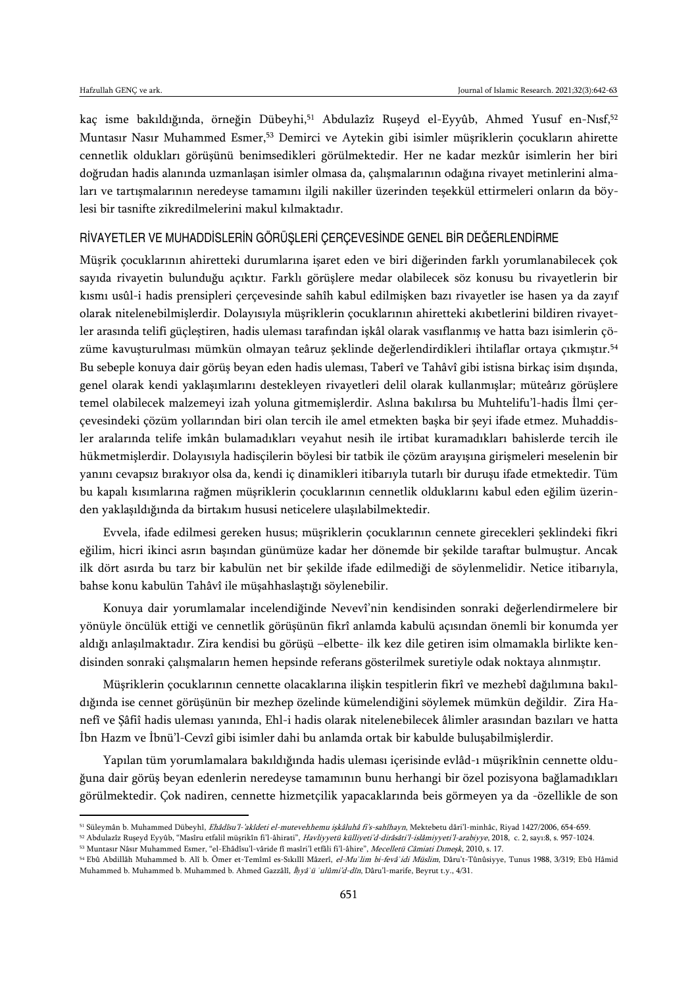$\overline{a}$ 

kaç isme bakıldığında, örneğin Dübeyhi,<sup>51</sup> Abdulazîz Ruşeyd el-Eyyûb, Ahmed Yusuf en-Nısf,<sup>52</sup> Muntasır Nasır Muhammed Esmer,<sup>53</sup> Demirci ve Aytekin gibi isimler müşriklerin çocukların ahirette cennetlik oldukları görüşünü benimsedikleri görülmektedir. Her ne kadar mezkûr isimlerin her biri doğrudan hadis alanında uzmanlaşan isimler olmasa da, çalışmalarının odağına rivayet metinlerini almaları ve tartışmalarının neredeyse tamamını ilgili nakiller üzerinden teşekkül ettirmeleri onların da böylesi bir tasnifte zikredilmelerini makul kılmaktadır.

# RİVAYETLER VE MUHADDİSLERİN GÖRÜŞLERİ ÇERÇEVESİNDE GENEL BİR DEĞERLENDİRME

Müşrik çocuklarının ahiretteki durumlarına işaret eden ve biri diğerinden farklı yorumlanabilecek çok sayıda rivayetin bulunduğu açıktır. Farklı görüşlere medar olabilecek söz konusu bu rivayetlerin bir kısmı usûl-i hadis prensipleri çerçevesinde sahîh kabul edilmişken bazı rivayetler ise hasen ya da zayıf olarak nitelenebilmişlerdir. Dolayısıyla müşriklerin çocuklarının ahiretteki akıbetlerini bildiren rivayetler arasında telifi güçleştiren, hadis uleması tarafından işkâl olarak vasıflanmış ve hatta bazı isimlerin çözüme kavuşturulması mümkün olmayan teâruz şeklinde değerlendirdikleri ihtilaflar ortaya çıkmıştır.<sup>54</sup> Bu sebeple konuya dair görüş beyan eden hadis uleması, Taberî ve Tahâvî gibi istisna birkaç isim dışında, genel olarak kendi yaklaşımlarını destekleyen rivayetleri delil olarak kullanmışlar; müteârız görüşlere temel olabilecek malzemeyi izah yoluna gitmemişlerdir. Aslına bakılırsa bu Muhtelifu'l-hadis İlmi çerçevesindeki çözüm yollarından biri olan tercih ile amel etmekten başka bir şeyi ifade etmez. Muhaddisler aralarında telife imkân bulamadıkları veyahut nesih ile irtibat kuramadıkları bahislerde tercih ile hükmetmişlerdir. Dolayısıyla hadisçilerin böylesi bir tatbik ile çözüm arayışına girişmeleri meselenin bir yanını cevapsız bırakıyor olsa da, kendi iç dinamikleri itibarıyla tutarlı bir duruşu ifade etmektedir. Tüm bu kapalı kısımlarına rağmen müşriklerin çocuklarının cennetlik olduklarını kabul eden eğilim üzerinden yaklaşıldığında da birtakım hususi neticelere ulaşılabilmektedir.

Evvela, ifade edilmesi gereken husus; müşriklerin çocuklarının cennete girecekleri şeklindeki fikri eğilim, hicri ikinci asrın başından günümüze kadar her dönemde bir şekilde taraftar bulmuştur. Ancak ilk dört asırda bu tarz bir kabulün net bir şekilde ifade edilmediği de söylenmelidir. Netice itibarıyla, bahse konu kabulün Tahâvî ile müşahhaslaştığı söylenebilir.

Konuya dair yorumlamalar incelendiğinde Nevevî'nin kendisinden sonraki değerlendirmelere bir yönüyle öncülük ettiği ve cennetlik görüşünün fikrî anlamda kabulü açısından önemli bir konumda yer aldığı anlaşılmaktadır. Zira kendisi bu görüşü –elbette- ilk kez dile getiren isim olmamakla birlikte kendisinden sonraki çalışmaların hemen hepsinde referans gösterilmek suretiyle odak noktaya alınmıştır.

Müşriklerin çocuklarının cennette olacaklarına ilişkin tespitlerin fikrî ve mezhebî dağılımına bakıldığında ise cennet görüşünün bir mezhep özelinde kümelendiğini söylemek mümkün değildir. Zira Hanefî ve Şâfiî hadis uleması yanında, Ehl-i hadis olarak nitelenebilecek âlimler arasından bazıları ve hatta İbn Hazm ve İbnü'l-Cevzî gibi isimler dahi bu anlamda ortak bir kabulde buluşabilmişlerdir.

Yapılan tüm yorumlamalara bakıldığında hadis uleması içerisinde evlâd-ı müşrikînin cennette olduğuna dair görüş beyan edenlerin neredeyse tamamının bunu herhangi bir özel pozisyona bağlamadıkları görülmektedir. Çok nadiren, cennette hizmetçilik yapacaklarında beis görmeyen ya da -özellikle de son

<sup>&</sup>lt;sup>51</sup> Süleymân b. Muhammed Dübeyhî, *Ehâdîsu'l-'akîdeti el-mutevehhemu işkâluhâ fi's-sahîhayn*, Mektebetu dâri'l-minhâc, Riyad 1427/2006, 654-659.

<sup>52</sup> Abdulazîz Ruşeyd Eyyûb, "Masîru etfalil müşrikîn fi'l-âhirati", Havliyyetü külliyeti'd-dirâsâti'l-islâmiyyeti'l-arabiyye, 2018, c. 2, sayı:8, s. 957-1024.

<sup>53</sup> Muntasır Nâsır Muhammed Esmer, "el-Ehâdîsu'l-vâride fî masîri'l etfâli fi'l-âhire", Mecelletü Câmiati Dımeşk, 2010, s. 17.

<sup>54</sup> Ebû Abdillâh Muhammed b. Alî b. Ömer et-Temîmî es-Sıkıllî Mâzerî, el-Mu*ʿ*lim bi-fevâ*ʾ*idi Müslim, Dâru't-Tûnûsiyye, Tunus 1988, 3/319; Ebû Hâmid Muhammed b. Muhammed b. Muhammed b. Ahmed Gazzâlî, İ*ḥ*yâ*ʾ*ü *ʿ*ulûmi'd-dîn, Dâru'l-marife, Beyrut t.y., 4/31.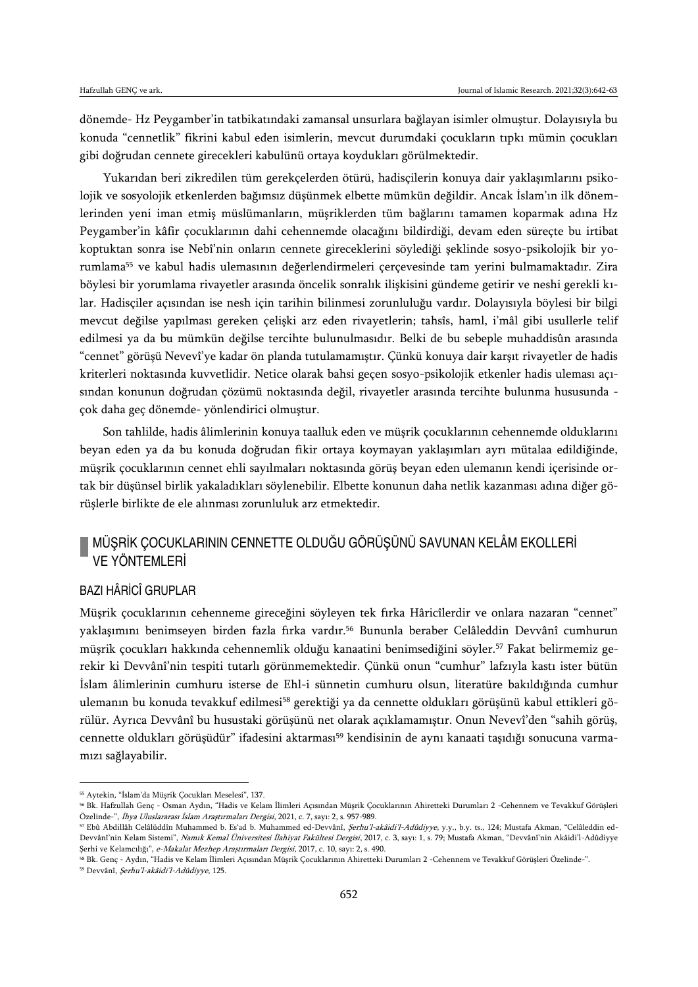dönemde- Hz Peygamber'in tatbikatındaki zamansal unsurlara bağlayan isimler olmuştur. Dolayısıyla bu konuda "cennetlik" fikrini kabul eden isimlerin, mevcut durumdaki çocukların tıpkı mümin çocukları gibi doğrudan cennete girecekleri kabulünü ortaya koydukları görülmektedir.

Yukarıdan beri zikredilen tüm gerekçelerden ötürü, hadisçilerin konuya dair yaklaşımlarını psikolojik ve sosyolojik etkenlerden bağımsız düşünmek elbette mümkün değildir. Ancak İslam'ın ilk dönemlerinden yeni iman etmiş müslümanların, müşriklerden tüm bağlarını tamamen koparmak adına Hz Peygamber'in kâfir çocuklarının dahi cehennemde olacağını bildirdiği, devam eden süreçte bu irtibat koptuktan sonra ise Nebî'nin onların cennete gireceklerini söylediği şeklinde sosyo-psikolojik bir yorumlama<sup>55</sup> ve kabul hadis ulemasının değerlendirmeleri çerçevesinde tam yerini bulmamaktadır. Zira böylesi bir yorumlama rivayetler arasında öncelik sonralık ilişkisini gündeme getirir ve neshi gerekli kılar. Hadisçiler açısından ise nesh için tarihin bilinmesi zorunluluğu vardır. Dolayısıyla böylesi bir bilgi mevcut değilse yapılması gereken çelişki arz eden rivayetlerin; tahsîs, haml, i'mâl gibi usullerle telif edilmesi ya da bu mümkün değilse tercihte bulunulmasıdır. Belki de bu sebeple muhaddisûn arasında "cennet" görüşü Nevevî'ye kadar ön planda tutulamamıştır. Çünkü konuya dair karşıt rivayetler de hadis kriterleri noktasında kuvvetlidir. Netice olarak bahsi geçen sosyo-psikolojik etkenler hadis uleması açısından konunun doğrudan çözümü noktasında değil, rivayetler arasında tercihte bulunma hususunda çok daha geç dönemde- yönlendirici olmuştur.

Son tahlilde, hadis âlimlerinin konuya taalluk eden ve müşrik çocuklarının cehennemde olduklarını beyan eden ya da bu konuda doğrudan fikir ortaya koymayan yaklaşımları ayrı mütalaa edildiğinde, müşrik çocuklarının cennet ehli sayılmaları noktasında görüş beyan eden ulemanın kendi içerisinde ortak bir düşünsel birlik yakaladıkları söylenebilir. Elbette konunun daha netlik kazanması adına diğer görüşlerle birlikte de ele alınması zorunluluk arz etmektedir.

# MÜŞRİK ÇOCUKLARININ CENNETTE OLDUĞU GÖRÜŞÜNÜ SAVUNAN KELÂM EKOLLERİ **VE YÖNTEMI FRİ**

# BAZI HÂRİCÎ GRUPLAR

Müşrik çocuklarının cehenneme gireceğini söyleyen tek fırka Hâricîlerdir ve onlara nazaran "cennet" yaklaşımını benimseyen birden fazla fırka vardır.<sup>56</sup> Bununla beraber Celâleddin Devvânî cumhurun müşrik çocukları hakkında cehennemlik olduğu kanaatini benimsediğini söyler.<sup>57</sup> Fakat belirmemiz gerekir ki Devvânî'nin tespiti tutarlı görünmemektedir. Çünkü onun "cumhur" lafzıyla kastı ister bütün İslam âlimlerinin cumhuru isterse de Ehl-i sünnetin cumhuru olsun, literatüre bakıldığında cumhur ulemanın bu konuda tevakkuf edilmesi<sup>58</sup> gerektiği ya da cennette oldukları görüşünü kabul ettikleri görülür. Ayrıca Devvânî bu husustaki görüşünü net olarak açıklamamıştır. Onun Nevevî'den "sahih görüş, cennette oldukları görüşüdür" ifadesini aktarması<sup>59</sup> kendisinin de aynı kanaati taşıdığı sonucuna varmamızı sağlayabilir.

 $\overline{\phantom{a}}$ 

<sup>55</sup> Aytekin, "İslam'da Müşrik Çocukları Meselesi", 137.

<sup>56</sup> Bk. Hafzullah Genç - Osman Aydın, "Hadis ve Kelam İlimleri Açısından Müşrik Çocuklarının Ahiretteki Durumları 2 -Cehennem ve Tevakkuf Görüşleri Özelinde-", İhya Uluslararası İslam Araştırmaları Dergisi, 2021, c. 7, sayı: 2, s. 957-989.

<sup>57</sup> Ebû Abdillâh Celâlüddîn Muhammed b. Es'ad b. Muhammed ed-Devvânî, Şerhu'l-akâidi'l-Adûdiyye, y.y., b.y. ts., 124; Mustafa Akman, "Celâleddin ed-Devvânî'nin Kelam Sistemi", Namık Kemal Üniversitesi İlahiyat Fakültesi Dergisi, 2017, c. 3, sayı: 1, s. 79; Mustafa Akman, "Devvânî'nin Akâidi'l-Adûdiyye Şerhi ve Kelamcılığı", e-Makalat Mezhep Araştırmaları Dergisi, 2017, c. 10, sayı: 2, s. 490.

<sup>58</sup> Bk. Genç - Aydın, "Hadis ve Kelam İlimleri Açısından Müşrik Çocuklarının Ahiretteki Durumları 2 -Cehennem ve Tevakkuf Görüşleri Özelinde-".

<sup>59</sup> Devvânî, Şerhu'l-akâidi'l-Adûdiyye, 125.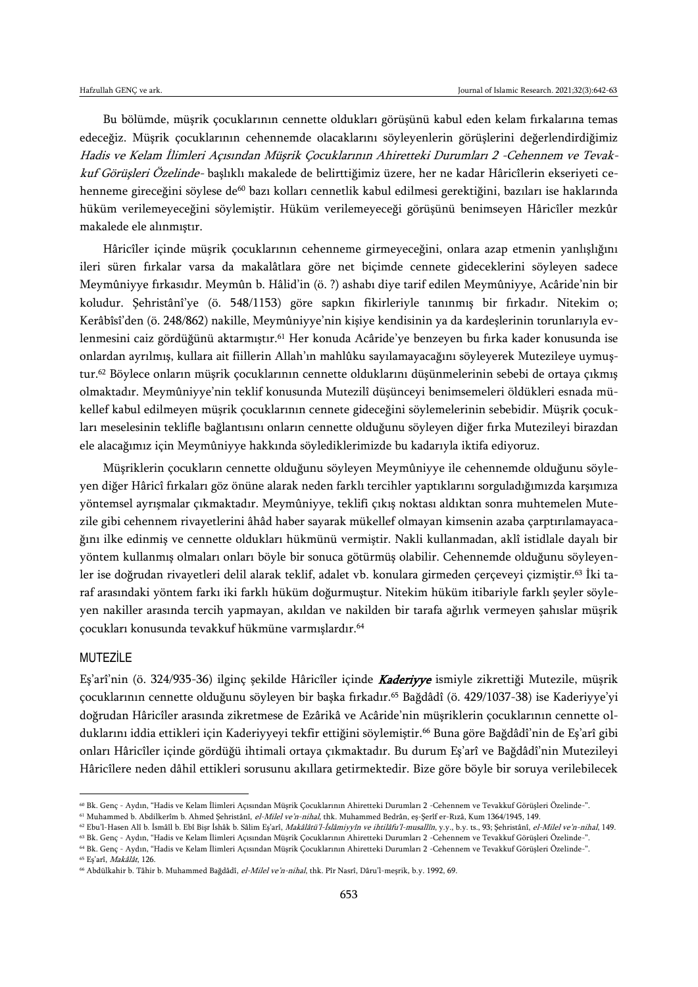Bu bölümde, müşrik çocuklarının cennette oldukları görüşünü kabul eden kelam fırkalarına temas edeceğiz. Müşrik çocuklarının cehennemde olacaklarını söyleyenlerin görüşlerini değerlendirdiğimiz Hadis ve Kelam İlimleri Açısından Müşrik Çocuklarının Ahiretteki Durumları 2 -Cehennem ve Tevakkuf Görüşleri Özelinde- başlıklı makalede de belirttiğimiz üzere, her ne kadar Hâricîlerin ekseriyeti cehenneme gireceğini söylese de<sup>60</sup> bazı kolları cennetlik kabul edilmesi gerektiğini, bazıları ise haklarında hüküm verilemeyeceğini söylemiştir. Hüküm verilemeyeceği görüşünü benimseyen Hâricîler mezkûr makalede ele alınmıştır.

Hâricîler içinde müşrik çocuklarının cehenneme girmeyeceğini, onlara azap etmenin yanlışlığını ileri süren fırkalar varsa da makalâtlara göre net biçimde cennete gideceklerini söyleyen sadece Meymûniyye fırkasıdır. Meymûn b. Hâlid'in (ö. ?) ashabı diye tarif edilen Meymûniyye, Acâride'nin bir koludur. Şehristânî'ye (ö. 548/1153) göre sapkın fikirleriyle tanınmış bir fırkadır. Nitekim o; Kerâbîsî'den (ö. 248/862) nakille, Meymûniyye'nin kişiye kendisinin ya da kardeşlerinin torunlarıyla evlenmesini caiz gördüğünü aktarmıştır.<sup>61</sup> Her konuda Acâride'ye benzeyen bu fırka kader konusunda ise onlardan ayrılmış, kullara ait fiillerin Allah'ın mahlûku sayılamayacağını söyleyerek Mutezileye uymuştur.<sup>62</sup> Böylece onların müşrik çocuklarının cennette olduklarını düşünmelerinin sebebi de ortaya çıkmış olmaktadır. Meymûniyye'nin teklif konusunda Mutezilî düşünceyi benimsemeleri öldükleri esnada mükellef kabul edilmeyen müşrik çocuklarının cennete gideceğini söylemelerinin sebebidir. Müşrik çocukları meselesinin teklifle bağlantısını onların cennette olduğunu söyleyen diğer fırka Mutezileyi birazdan ele alacağımız için Meymûniyye hakkında söylediklerimizde bu kadarıyla iktifa ediyoruz.

Müşriklerin çocukların cennette olduğunu söyleyen Meymûniyye ile cehennemde olduğunu söyleyen diğer Hâricî fırkaları göz önüne alarak neden farklı tercihler yaptıklarını sorguladığımızda karşımıza yöntemsel ayrışmalar çıkmaktadır. Meymûniyye, teklifi çıkış noktası aldıktan sonra muhtemelen Mutezile gibi cehennem rivayetlerini âhâd haber sayarak mükellef olmayan kimsenin azaba çarptırılamayacağını ilke edinmiş ve cennette oldukları hükmünü vermiştir. Nakli kullanmadan, aklî istidlale dayalı bir yöntem kullanmış olmaları onları böyle bir sonuca götürmüş olabilir. Cehennemde olduğunu söyleyenler ise doğrudan rivayetleri delil alarak teklif, adalet vb. konulara girmeden çerçeveyi çizmiştir.<sup>63</sup> İki taraf arasındaki yöntem farkı iki farklı hüküm doğurmuştur. Nitekim hüküm itibariyle farklı şeyler söyleyen nakiller arasında tercih yapmayan, akıldan ve nakilden bir tarafa ağırlık vermeyen şahıslar müşrik çocukları konusunda tevakkuf hükmüne varmışlardır.<sup>64</sup>

#### MUTEZİLE

 $\overline{a}$ 

Eş'arî'nin (ö. 324/935-36) ilginç şekilde Hâricîler içinde **Kaderiyye** ismiyle zikrettiği Mutezile, müşrik çocuklarının cennette olduğunu söyleyen bir başka fırkadır.<sup>65</sup> Bağdâdî (ö. 429/1037-38) ise Kaderiyye'yi doğrudan Hâricîler arasında zikretmese de Ezârikâ ve Acâride'nin müşriklerin çocuklarının cennette olduklarını iddia ettikleri için Kaderiyyeyi tekfir ettiğini söylemiştir.<sup>66</sup> Buna göre Bağdâdî'nin de Eş'arî gibi onları Hâricîler içinde gördüğü ihtimali ortaya çıkmaktadır. Bu durum Eş'arî ve Bağdâdî'nin Mutezileyi Hâricîlere neden dâhil ettikleri sorusunu akıllara getirmektedir. Bize göre böyle bir soruya verilebilecek

<sup>60</sup> Bk. Genç - Aydın, "Hadis ve Kelam İlimleri Açısından Müşrik Çocuklarının Ahiretteki Durumları 2 -Cehennem ve Tevakkuf Görüşleri Özelinde-".

<sup>61</sup> Muhammed b. Abdilkerîm b. Ahmed Şehristânî, el-Milel ve'n-nihal, thk. Muhammed Bedrân, eş-Şerîf er-Rızâ, Kum 1364/1945, 149.

<sup>&</sup>lt;sup>62</sup> Ebu'l-Hasen Alî b. İsmâîl b. Ebî Bişr İshâk b. Sâlim Eş'arî, *Makâlâtü'l-İslâmiyyîn ve ihtilâfu'l-musallîn*, y.y., b.y. ts., 93; Şehristânî, *el-Milel ve'n-nihal*, 149.

<sup>63</sup> Bk. Genç - Aydın, "Hadis ve Kelam İlimleri Açısından Müşrik Çocuklarının Ahiretteki Durumları 2 -Cehennem ve Tevakkuf Görüşleri Özelinde-".

<sup>64</sup> Bk. Genç - Aydın, "Hadis ve Kelam İlimleri Açısından Müşrik Çocuklarının Ahiretteki Durumları 2 -Cehennem ve Tevakkuf Görüşleri Özelinde-". <sup>65</sup> Eş'arî, Makâlât, 126.

<sup>&</sup>lt;sup>66</sup> Abdülkahir b. Tâhir b. Muhammed Bağdâdî, el-Milel ve'n-nihal, thk. Pîr Nasrî, Dâru'l-meşrik, b.y. 1992, 69.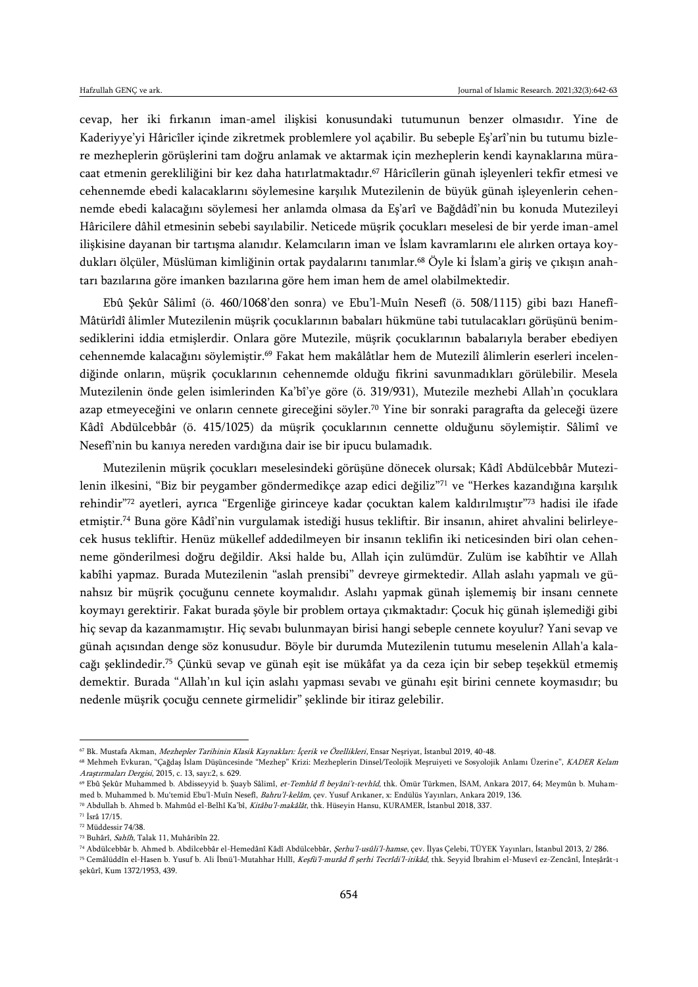cevap, her iki fırkanın iman-amel ilişkisi konusundaki tutumunun benzer olmasıdır. Yine de Kaderiyye'yi Hâricîler içinde zikretmek problemlere yol açabilir. Bu sebeple Eş'arî'nin bu tutumu bizlere mezheplerin görüşlerini tam doğru anlamak ve aktarmak için mezheplerin kendi kaynaklarına müracaat etmenin gerekliliğini bir kez daha hatırlatmaktadır.<sup>67</sup> Hâricîlerin günah işleyenleri tekfir etmesi ve cehennemde ebedi kalacaklarını söylemesine karşılık Mutezilenin de büyük günah işleyenlerin cehennemde ebedi kalacağını söylemesi her anlamda olmasa da Eş'arî ve Bağdâdî'nin bu konuda Mutezileyi Hâricilere dâhil etmesinin sebebi sayılabilir. Neticede müşrik çocukları meselesi de bir yerde iman-amel ilişkisine dayanan bir tartışma alanıdır. Kelamcıların iman ve İslam kavramlarını ele alırken ortaya koydukları ölçüler, Müslüman kimliğinin ortak paydalarını tanımlar.<sup>68</sup> Öyle ki İslam'a giriş ve çıkışın anahtarı bazılarına göre imanken bazılarına göre hem iman hem de amel olabilmektedir.

Ebû Şekûr Sâlimî (ö. 460/1068'den sonra) ve Ebu'l-Muîn Nesefî (ö. 508/1115) gibi bazı Hanefî-Mâtürîdî âlimler Mutezilenin müşrik çocuklarının babaları hükmüne tabi tutulacakları görüşünü benimsediklerini iddia etmişlerdir. Onlara göre Mutezile, müşrik çocuklarının babalarıyla beraber ebediyen cehennemde kalacağını söylemiştir.<sup>69</sup> Fakat hem makâlâtlar hem de Mutezilî âlimlerin eserleri incelendiğinde onların, müşrik çocuklarının cehennemde olduğu fikrini savunmadıkları görülebilir. Mesela Mutezilenin önde gelen isimlerinden Ka'bî'ye göre (ö. 319/931), Mutezile mezhebi Allah'ın çocuklara azap etmeyeceğini ve onların cennete gireceğini söyler.<sup>70</sup> Yine bir sonraki paragrafta da geleceği üzere Kâdî Abdülcebbâr (ö. 415/1025) da müşrik çocuklarının cennette olduğunu söylemiştir. Sâlimî ve Nesefî'nin bu kanıya nereden vardığına dair ise bir ipucu bulamadık.

Mutezilenin müşrik çocukları meselesindeki görüşüne dönecek olursak; Kâdî Abdülcebbâr Mutezilenin ilkesini, "Biz bir peygamber göndermedikçe azap edici değiliz"<sup>71</sup> ve "Herkes kazandığına karşılık rehindir"<sup>72</sup> ayetleri, ayrıca "Ergenliğe girinceye kadar çocuktan kalem kaldırılmıştır"<sup>73</sup> hadisi ile ifade etmiştir.<sup>74</sup> Buna göre Kâdî'nin vurgulamak istediği husus tekliftir. Bir insanın, ahiret ahvalini belirleyecek husus tekliftir. Henüz mükellef addedilmeyen bir insanın teklifin iki neticesinden biri olan cehenneme gönderilmesi doğru değildir. Aksi halde bu, Allah için zulümdür. Zulüm ise kabîhtir ve Allah kabîhi yapmaz. Burada Mutezilenin "aslah prensibi" devreye girmektedir. Allah aslahı yapmalı ve günahsız bir müşrik çocuğunu cennete koymalıdır. Aslahı yapmak günah işlememiş bir insanı cennete koymayı gerektirir. Fakat burada şöyle bir problem ortaya çıkmaktadır: Çocuk hiç günah işlemediği gibi hiç sevap da kazanmamıştır. Hiç sevabı bulunmayan birisi hangi sebeple cennete koyulur? Yani sevap ve günah açısından denge söz konusudur. Böyle bir durumda Mutezilenin tutumu meselenin Allah'a kalacağı şeklindedir.<sup>75</sup> Çünkü sevap ve günah eşit ise mükâfat ya da ceza için bir sebep teşekkül etmemiş demektir. Burada "Allah'ın kul için aslahı yapması sevabı ve günahı eşit birini cennete koymasıdır; bu nedenle müşrik çocuğu cennete girmelidir" şeklinde bir itiraz gelebilir.

<sup>&</sup>lt;sup>67</sup> Bk. Mustafa Akman, *Mezhepler Tarihinin Klasik Kaynakları: İçerik ve Özellikleri*, Ensar Neşriyat, İstanbul 2019, 40-48.

<sup>&</sup>lt;sup>68</sup> Mehmeh Evkuran, "Çağdaş İslam Düşüncesinde "Mezhep" Krizi: Mezheplerin Dinsel/Teolojik Meşruiyeti ve Sosyolojik Anlamı Üzerine", KADER Kelam Araştırmaları Dergisi, 2015, c. 13, sayı:2, s. 629.

<sup>&</sup>lt;sup>69</sup> Ebû Şekûr Muhammed b. Abdisseyyid b. Şuayb Sâlimî, et-Temhîd fî beyâni't-tevhîd, thk. Ömür Türkmen, İSAM, Ankara 2017, 64; Meymûn b. Muhammed b. Muhammed b. Mu'temid Ebu'l-Muîn Nesefî, Bahru'l-kelâm, çev. Yusuf Arıkaner, x: Endülüs Yayınları, Ankara 2019, 136.

<sup>70</sup> Abdullah b. Ahmed b. Mahmûd el-Belhî Ka'bî, Kitâbu'l-makâlât, thk. Hüseyin Hansu, KURAMER, İstanbul 2018, 337.

<sup>71</sup> İsrâ 17/15.

<sup>72</sup> Müddessir 74/38.

<sup>73</sup> Buhârî, Sahîh, Talak 11, Muhâribîn 22.

<sup>74</sup> Abdülcebbâr b. Ahmed b. Abdilcebbâr el-Hemedânî Kâdî Abdülcebbâr, Şerhu'l-usûli'l-hamse, çev. İlyas Çelebi, TÜYEK Yayınları, İstanbul 2013, 2/ 286.

<sup>75</sup> Cemâlüddîn el-Hasen b. Yusuf b. Ali İbnü'l-Mutahhar Hıllî, Keşfü'l-murâd fî şerhi Tecrîdi'l-itikâd, thk. Seyyid İbrahim el-Musevî ez-Zencânî, İnteşârât-ı şekûrî, Kum 1372/1953, 439.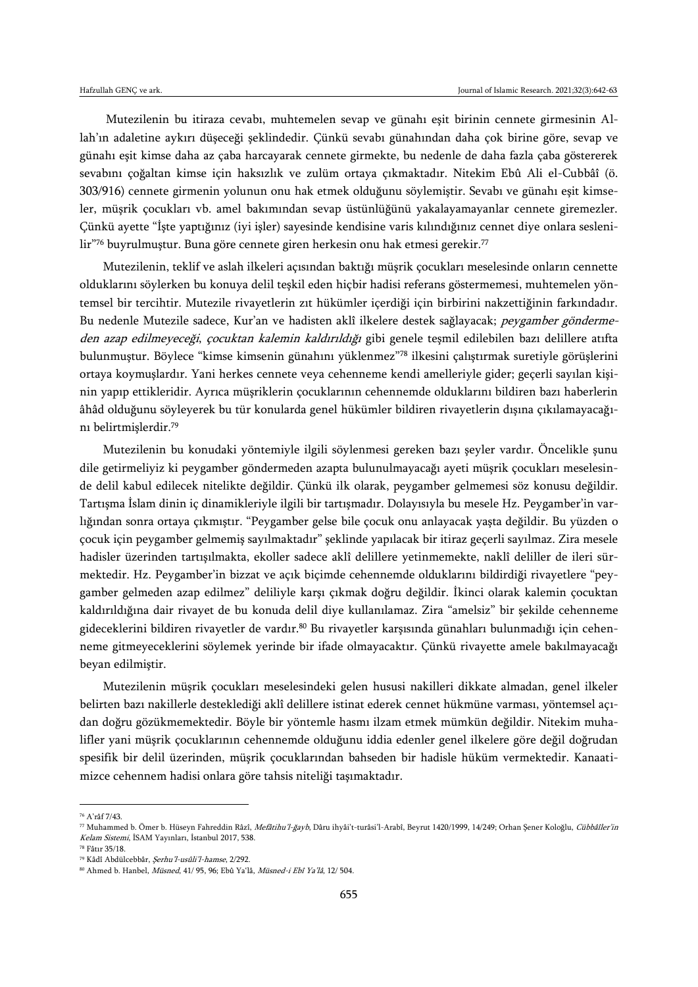Mutezilenin bu itiraza cevabı, muhtemelen sevap ve günahı eşit birinin cennete girmesinin Allah'ın adaletine aykırı düşeceği şeklindedir. Çünkü sevabı günahından daha çok birine göre, sevap ve günahı eşit kimse daha az çaba harcayarak cennete girmekte, bu nedenle de daha fazla çaba göstererek sevabını çoğaltan kimse için haksızlık ve zulüm ortaya çıkmaktadır. Nitekim Ebû Ali el-Cubbâî (ö. 303/916) cennete girmenin yolunun onu hak etmek olduğunu söylemiştir. Sevabı ve günahı eşit kimseler, müşrik çocukları vb. amel bakımından sevap üstünlüğünü yakalayamayanlar cennete giremezler. Çünkü ayette "İşte yaptığınız (iyi işler) sayesinde kendisine varis kılındığınız cennet diye onlara seslenilir"76 buyrulmuştur. Buna göre cennete giren herkesin onu hak etmesi gerekir.<sup>77</sup>

Mutezilenin, teklif ve aslah ilkeleri açısından baktığı müşrik çocukları meselesinde onların cennette olduklarını söylerken bu konuya delil teşkil eden hiçbir hadisi referans göstermemesi, muhtemelen yöntemsel bir tercihtir. Mutezile rivayetlerin zıt hükümler içerdiği için birbirini nakzettiğinin farkındadır. Bu nedenle Mutezile sadece, Kur'an ve hadisten aklî ilkelere destek sağlayacak; peygamber göndermeden azap edilmeyeceği, çocuktan kalemin kaldırıldığı gibi genele teşmil edilebilen bazı delillere atıfta bulunmuştur. Böylece "kimse kimsenin günahını yüklenmez"<sup>78</sup> ilkesini çalıştırmak suretiyle görüşlerini ortaya koymuşlardır. Yani herkes cennete veya cehenneme kendi amelleriyle gider; geçerli sayılan kişinin yapıp ettikleridir. Ayrıca müşriklerin çocuklarının cehennemde olduklarını bildiren bazı haberlerin âhâd olduğunu söyleyerek bu tür konularda genel hükümler bildiren rivayetlerin dışına çıkılamayacağını belirtmişlerdir.<sup>79</sup>

Mutezilenin bu konudaki yöntemiyle ilgili söylenmesi gereken bazı şeyler vardır. Öncelikle şunu dile getirmeliyiz ki peygamber göndermeden azapta bulunulmayacağı ayeti müşrik çocukları meselesinde delil kabul edilecek nitelikte değildir. Çünkü ilk olarak, peygamber gelmemesi söz konusu değildir. Tartışma İslam dinin iç dinamikleriyle ilgili bir tartışmadır. Dolayısıyla bu mesele Hz. Peygamber'in varlığından sonra ortaya çıkmıştır. "Peygamber gelse bile çocuk onu anlayacak yaşta değildir. Bu yüzden o çocuk için peygamber gelmemiş sayılmaktadır" şeklinde yapılacak bir itiraz geçerli sayılmaz. Zira mesele hadisler üzerinden tartışılmakta, ekoller sadece aklî delillere yetinmemekte, naklî deliller de ileri sürmektedir. Hz. Peygamber'in bizzat ve açık biçimde cehennemde olduklarını bildirdiği rivayetlere "peygamber gelmeden azap edilmez" deliliyle karşı çıkmak doğru değildir. İkinci olarak kalemin çocuktan kaldırıldığına dair rivayet de bu konuda delil diye kullanılamaz. Zira "amelsiz" bir şekilde cehenneme gideceklerini bildiren rivayetler de vardır.<sup>80</sup> Bu rivayetler karşısında günahları bulunmadığı için cehenneme gitmeyeceklerini söylemek yerinde bir ifade olmayacaktır. Çünkü rivayette amele bakılmayacağı beyan edilmiştir.

Mutezilenin müşrik çocukları meselesindeki gelen hususi nakilleri dikkate almadan, genel ilkeler belirten bazı nakillerle desteklediği aklî delillere istinat ederek cennet hükmüne varması, yöntemsel açıdan doğru gözükmemektedir. Böyle bir yöntemle hasmı ilzam etmek mümkün değildir. Nitekim muhalifler yani müşrik çocuklarının cehennemde olduğunu iddia edenler genel ilkelere göre değil doğrudan spesifik bir delil üzerinden, müşrik çocuklarından bahseden bir hadisle hüküm vermektedir. Kanaatimizce cehennem hadisi onlara göre tahsis niteliği taşımaktadır.

<sup>76</sup> A'râf 7/43.

<sup>77</sup> Muhammed b. Ömer b. Hüseyn Fahreddin Râzî, Mefâtihu'l-ğayb, Dâru ihyâi't-turâsi'l-Arabî, Beyrut 1420/1999, 14/249; Orhan Şener Koloğlu, Cübbâîler'in Kelam Sistemi, İSAM Yayınları, İstanbul 2017, 538.

<sup>78</sup> Fâtır 35/18.

<sup>79</sup> Kâdî Abdülcebbâr, Şerhu'l-usûli'l-hamse, 2/292.

<sup>80</sup> Ahmed b. Hanbel, Müsned, 41/ 95, 96; Ebû Ya'lâ, Müsned-i Ebî Ya'lâ, 12/ 504.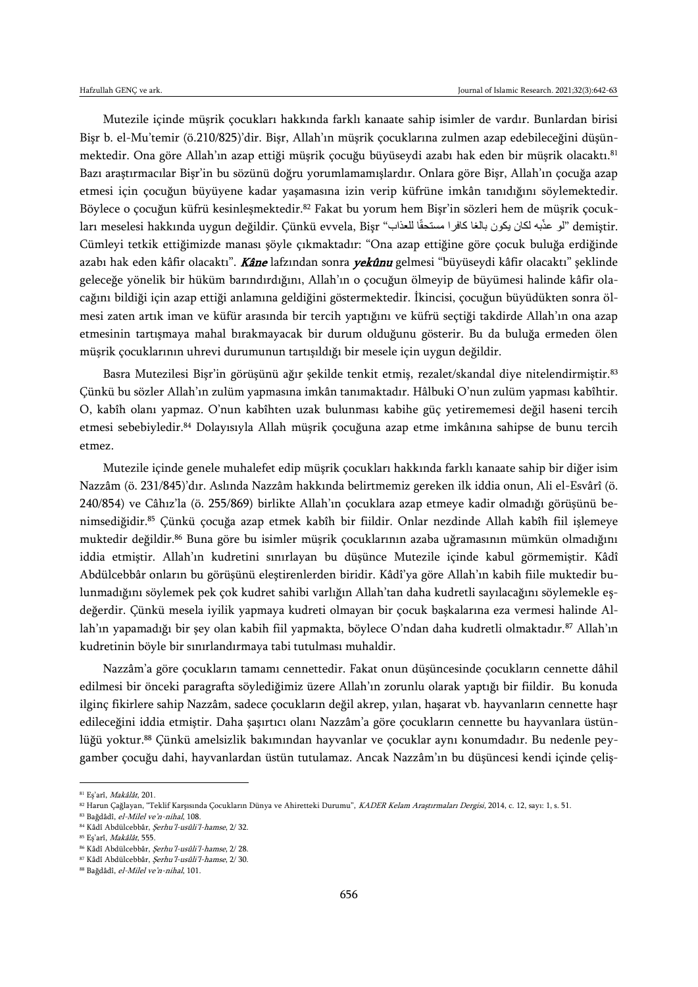Mutezile içinde müşrik çocukları hakkında farklı kanaate sahip isimler de vardır. Bunlardan birisi Bişr b. el-Mu'temir (ö.210/825)'dir. Bişr, Allah'ın müşrik çocuklarına zulmen azap edebileceğini düşünmektedir. Ona göre Allah'ın azap ettiği müşrik çocuğu büyüseydi azabı hak eden bir müşrik olacaktı.<sup>81</sup> Bazı araştırmacılar Bişr'in bu sözünü doğru yorumlamamışlardır. Onlara göre Bişr, Allah'ın çocuğa azap etmesi için çocuğun büyüyene kadar yaşamasına izin verip küfrüne imkân tanıdığını söylemektedir. Böylece o çocuğun küfrü kesinleşmektedir.<sup>82</sup> Fakat bu yorum hem Bişr'in sözleri hem de müşrik çocukları meselesi hakkında uygun değildir. Çünkü evvela, Bişr "لو عذّبه لكان يكون بالغا كافرا مستحقّا للعذاب" demiştir. Cümleyi tetkik ettiğimizde manası şöyle çıkmaktadır: "Ona azap ettiğine göre çocuk buluğa erdiğinde azabı hak eden kâfir olacaktı". Kâne lafzından sonra yekûnu gelmesi "büyüseydi kâfir olacaktı" şeklinde geleceğe yönelik bir hüküm barındırdığını, Allah'ın o çocuğun ölmeyip de büyümesi halinde kâfir olacağını bildiği için azap ettiği anlamına geldiğini göstermektedir. İkincisi, çocuğun büyüdükten sonra ölmesi zaten artık iman ve küfür arasında bir tercih yaptığını ve küfrü seçtiği takdirde Allah'ın ona azap etmesinin tartışmaya mahal bırakmayacak bir durum olduğunu gösterir. Bu da buluğa ermeden ölen müşrik çocuklarının uhrevi durumunun tartışıldığı bir mesele için uygun değildir.

Basra Mutezilesi Bişr'in görüşünü ağır şekilde tenkit etmiş, rezalet/skandal diye nitelendirmiştir.<sup>83</sup> Çünkü bu sözler Allah'ın zulüm yapmasına imkân tanımaktadır. Hâlbuki O'nun zulüm yapması kabîhtir. O, kabîh olanı yapmaz. O'nun kabîhten uzak bulunması kabihe güç yetirememesi değil haseni tercih etmesi sebebiyledir.<sup>84</sup> Dolayısıyla Allah müşrik çocuğuna azap etme imkânına sahipse de bunu tercih etmez.

Mutezile içinde genele muhalefet edip müşrik çocukları hakkında farklı kanaate sahip bir diğer isim Nazzâm (ö. 231/845)'dır. Aslında Nazzâm hakkında belirtmemiz gereken ilk iddia onun, Ali el-Esvârî (ö. 240/854) ve Câhız'la (ö. 255/869) birlikte Allah'ın çocuklara azap etmeye kadir olmadığı görüşünü benimsediğidir.<sup>85</sup> Çünkü çocuğa azap etmek kabîh bir fiildir. Onlar nezdinde Allah kabîh fiil işlemeye muktedir değildir.<sup>86</sup> Buna göre bu isimler müşrik çocuklarının azaba uğramasının mümkün olmadığını iddia etmiştir. Allah'ın kudretini sınırlayan bu düşünce Mutezile içinde kabul görmemiştir. Kâdî Abdülcebbâr onların bu görüşünü eleştirenlerden biridir. Kâdî'ya göre Allah'ın kabih fiile muktedir bulunmadığını söylemek pek çok kudret sahibi varlığın Allah'tan daha kudretli sayılacağını söylemekle eşdeğerdir. Çünkü mesela iyilik yapmaya kudreti olmayan bir çocuk başkalarına eza vermesi halinde Allah'ın yapamadığı bir şey olan kabih fiil yapmakta, böylece O'ndan daha kudretli olmaktadır.<sup>87</sup> Allah'ın kudretinin böyle bir sınırlandırmaya tabi tutulması muhaldir.

Nazzâm'a göre çocukların tamamı cennettedir. Fakat onun düşüncesinde çocukların cennette dâhil edilmesi bir önceki paragrafta söylediğimiz üzere Allah'ın zorunlu olarak yaptığı bir fiildir. Bu konuda ilginç fikirlere sahip Nazzâm, sadece çocukların değil akrep, yılan, haşarat vb. hayvanların cennette haşr edileceğini iddia etmiştir. Daha şaşırtıcı olanı Nazzâm'a göre çocukların cennette bu hayvanlara üstünlüğü yoktur.<sup>88</sup> Çünkü amelsizlik bakımından hayvanlar ve çocuklar aynı konumdadır. Bu nedenle peygamber çocuğu dahi, hayvanlardan üstün tutulamaz. Ancak Nazzâm'ın bu düşüncesi kendi içinde çeliş-

 $\overline{\phantom{a}}$ 

<sup>81</sup> Eş'arî, Makâlât, 201.

<sup>82</sup> Harun Çağlayan, "Teklif Karşısında Çocukların Dünya ve Ahiretteki Durumu", KADER Kelam Araştırmaları Dergisi, 2014, c. 12, sayı: 1, s. 51.

<sup>83</sup> Bağdâdî, el-Milel ve'n-nihal, 108.

<sup>84</sup> Kâdî Abdülcebbâr, Şerhu'l-usûli'l-hamse, 2/ 32.

<sup>85</sup> Eş'arî, Makâlât, 555.

<sup>86</sup> Kâdî Abdülcebbâr, Şerhu'l-usûli'l-hamse, 2/ 28. <sup>87</sup> Kâdî Abdülcebbâr, Şerhu'l-usûli'l-hamse, 2/ 30.

<sup>88</sup> Bağdâdî, el-Milel ve'n-nihal, 101.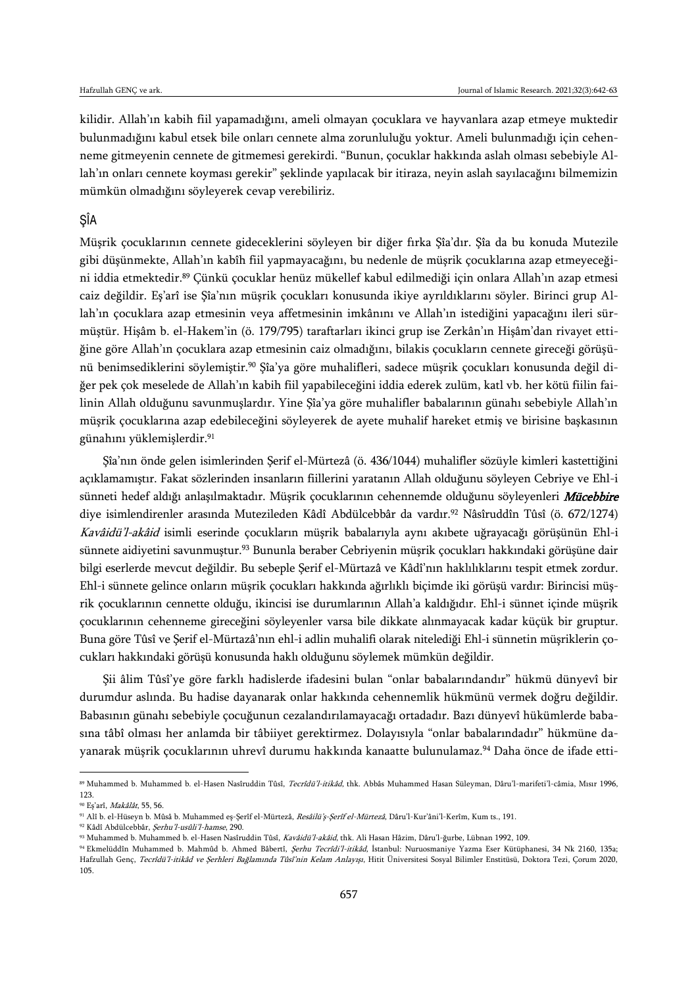kilidir. Allah'ın kabih fiil yapamadığını, ameli olmayan çocuklara ve hayvanlara azap etmeye muktedir bulunmadığını kabul etsek bile onları cennete alma zorunluluğu yoktur. Ameli bulunmadığı için cehenneme gitmeyenin cennete de gitmemesi gerekirdi. "Bunun, çocuklar hakkında aslah olması sebebiyle Allah'ın onları cennete koyması gerekir" şeklinde yapılacak bir itiraza, neyin aslah sayılacağını bilmemizin mümkün olmadığını söyleyerek cevap verebiliriz.

## ŞÎA

Müşrik çocuklarının cennete gideceklerini söyleyen bir diğer fırka Şîa'dır. Şîa da bu konuda Mutezile gibi düşünmekte, Allah'ın kabîh fiil yapmayacağını, bu nedenle de müşrik çocuklarına azap etmeyeceğini iddia etmektedir.<sup>89</sup> Çünkü çocuklar henüz mükellef kabul edilmediği için onlara Allah'ın azap etmesi caiz değildir. Eş'arî ise Şîa'nın müşrik çocukları konusunda ikiye ayrıldıklarını söyler. Birinci grup Allah'ın çocuklara azap etmesinin veya affetmesinin imkânını ve Allah'ın istediğini yapacağını ileri sürmüştür. Hişâm b. el-Hakem'in (ö. 179/795) taraftarları ikinci grup ise Zerkân'ın Hişâm'dan rivayet ettiğine göre Allah'ın çocuklara azap etmesinin caiz olmadığını, bilakis çocukların cennete gireceği görüşünü benimsediklerini söylemiştir.<sup>90</sup> Şîa'ya göre muhalifleri, sadece müşrik çocukları konusunda değil diğer pek çok meselede de Allah'ın kabih fiil yapabileceğini iddia ederek zulüm, katl vb. her kötü fiilin failinin Allah olduğunu savunmuşlardır. Yine Şîa'ya göre muhalifler babalarının günahı sebebiyle Allah'ın müşrik çocuklarına azap edebileceğini söyleyerek de ayete muhalif hareket etmiş ve birisine başkasının günahını yüklemişlerdir.<sup>91</sup>

Şîa'nın önde gelen isimlerinden Şerif el-Mürtezâ (ö. 436/1044) muhalifler sözüyle kimleri kastettiğini açıklamamıştır. Fakat sözlerinden insanların fiillerini yaratanın Allah olduğunu söyleyen Cebriye ve Ehl-i sünneti hedef aldığı anlaşılmaktadır. Müşrik çocuklarının cehennemde olduğunu söyleyenleri Mücebbire diye isimlendirenler arasında Mutezileden Kâdî Abdülcebbâr da vardır.<sup>92</sup> Nâsîruddîn Tûsî (ö. 672/1274) Kavâidü'l-akâid isimli eserinde çocukların müşrik babalarıyla aynı akıbete uğrayacağı görüşünün Ehl-i sünnete aidiyetini savunmuştur.<sup>93</sup> Bununla beraber Cebriyenin müşrik çocukları hakkındaki görüşüne dair bilgi eserlerde mevcut değildir. Bu sebeple Şerif el-Mürtazâ ve Kâdî'nın haklılıklarını tespit etmek zordur. Ehl-i sünnete gelince onların müşrik çocukları hakkında ağırlıklı biçimde iki görüşü vardır: Birincisi müşrik çocuklarının cennette olduğu, ikincisi ise durumlarının Allah'a kaldığıdır. Ehl-i sünnet içinde müşrik çocuklarının cehenneme gireceğini söyleyenler varsa bile dikkate alınmayacak kadar küçük bir gruptur. Buna göre Tûsî ve Şerif el-Mürtazâ'nın ehl-i adlin muhalifi olarak nitelediği Ehl-i sünnetin müşriklerin çocukları hakkındaki görüşü konusunda haklı olduğunu söylemek mümkün değildir.

Şii âlim Tûsî'ye göre farklı hadislerde ifadesini bulan "onlar babalarındandır" hükmü dünyevî bir durumdur aslında. Bu hadise dayanarak onlar hakkında cehennemlik hükmünü vermek doğru değildir. Babasının günahı sebebiyle çocuğunun cezalandırılamayacağı ortadadır. Bazı dünyevî hükümlerde babasına tâbî olması her anlamda bir tâbiiyet gerektirmez. Dolayısıyla "onlar babalarındadır" hükmüne dayanarak müşrik çocuklarının uhrevî durumu hakkında kanaatte bulunulamaz.<sup>94</sup> Daha önce de ifade etti-

<sup>89</sup> Muhammed b. Muhammed b. el-Hasen Nasîruddin Tûsî, Tecrîdü'l-itikâd, thk. Abbâs Muhammed Hasan Süleyman, Dâru'l-marifeti'l-câmia, Mısır 1996, 123.

<sup>90</sup> Eş'arî, Makâlât, 55, 56.

<sup>91</sup> Alî b. el-Hüseyn b. Mûsâ b. Muhammed eş-Şerîf el-Mürtezâ, Resâilü'ş-Şerîf el-Mürtezâ, Dâru'l-Kur'âni'l-Kerîm, Kum ts., 191.

<sup>92</sup> Kâdî Abdülcebbâr, Şerhu'l-usûli'l-hamse, 290.

<sup>93</sup> Muhammed b. Muhammed b. el-Hasen Nasîruddin Tûsî, Kavâidü'l-akâid, thk. Ali Hasan Hâzim, Dâru'l-ğurbe, Lübnan 1992, 109.

<sup>94</sup> Ekmelüddîn Muhammed b. Mahmûd b. Ahmed Bâbertî, Şerhu Tecrîdi'l-itikâd, İstanbul: Nuruosmaniye Yazma Eser Kütüphanesi, 34 Nk 2160, 135a; Hafzullah Genç, Tecrîdü'l-itikâd ve Şerhleri Bağlamında Tûsî'nin Kelam Anlayışı, Hitit Üniversitesi Sosyal Bilimler Enstitüsü, Doktora Tezi, Çorum 2020, 105.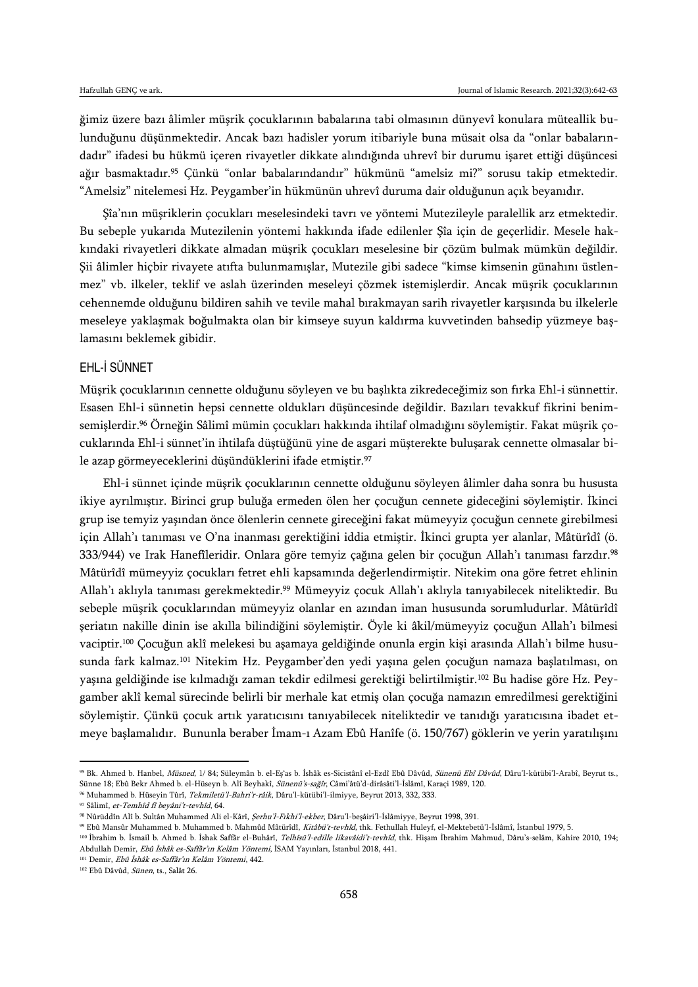ğimiz üzere bazı âlimler müşrik çocuklarının babalarına tabi olmasının dünyevî konulara müteallik bulunduğunu düşünmektedir. Ancak bazı hadisler yorum itibariyle buna müsait olsa da "onlar babalarındadır" ifadesi bu hükmü içeren rivayetler dikkate alındığında uhrevî bir durumu işaret ettiği düşüncesi ağır basmaktadır.<sup>95</sup> Çünkü "onlar babalarındandır" hükmünü "amelsiz mi?" sorusu takip etmektedir. "Amelsiz" nitelemesi Hz. Peygamber'in hükmünün uhrevî duruma dair olduğunun açık beyanıdır.

Şîa'nın müşriklerin çocukları meselesindeki tavrı ve yöntemi Mutezileyle paralellik arz etmektedir. Bu sebeple yukarıda Mutezilenin yöntemi hakkında ifade edilenler Şîa için de geçerlidir. Mesele hakkındaki rivayetleri dikkate almadan müşrik çocukları meselesine bir çözüm bulmak mümkün değildir. Şii âlimler hiçbir rivayete atıfta bulunmamışlar, Mutezile gibi sadece "kimse kimsenin günahını üstlenmez" vb. ilkeler, teklif ve aslah üzerinden meseleyi çözmek istemişlerdir. Ancak müşrik çocuklarının cehennemde olduğunu bildiren sahih ve tevile mahal bırakmayan sarih rivayetler karşısında bu ilkelerle meseleye yaklaşmak boğulmakta olan bir kimseye suyun kaldırma kuvvetinden bahsedip yüzmeye başlamasını beklemek gibidir.

## EHL-İ SÜNNET

Müşrik çocuklarının cennette olduğunu söyleyen ve bu başlıkta zikredeceğimiz son fırka Ehl-i sünnettir. Esasen Ehl-i sünnetin hepsi cennette oldukları düşüncesinde değildir. Bazıları tevakkuf fikrini benimsemişlerdir.<sup>96</sup> Örneğin Sâlimî mümin çocukları hakkında ihtilaf olmadığını söylemiştir. Fakat müşrik çocuklarında Ehl-i sünnet'in ihtilafa düştüğünü yine de asgari müşterekte buluşarak cennette olmasalar bile azap görmeyeceklerini düşündüklerini ifade etmiştir.<sup>97</sup>

Ehl-i sünnet içinde müşrik çocuklarının cennette olduğunu söyleyen âlimler daha sonra bu hususta ikiye ayrılmıştır. Birinci grup buluğa ermeden ölen her çocuğun cennete gideceğini söylemiştir. İkinci grup ise temyiz yaşından önce ölenlerin cennete gireceğini fakat mümeyyiz çocuğun cennete girebilmesi için Allah'ı tanıması ve O'na inanması gerektiğini iddia etmiştir. İkinci grupta yer alanlar, Mâtürîdî (ö. 333/944) ve Irak Hanefîleridir. Onlara göre temyiz çağına gelen bir çocuğun Allah'ı tanıması farzdır.<sup>98</sup> Mâtürîdî mümeyyiz çocukları fetret ehli kapsamında değerlendirmiştir. Nitekim ona göre fetret ehlinin Allah'ı aklıyla tanıması gerekmektedir.<sup>99</sup> Mümeyyiz çocuk Allah'ı aklıyla tanıyabilecek niteliktedir. Bu sebeple müşrik çocuklarından mümeyyiz olanlar en azından iman hususunda sorumludurlar. Mâtürîdî şeriatın nakille dinin ise akılla bilindiğini söylemiştir. Öyle ki âkil/mümeyyiz çocuğun Allah'ı bilmesi vaciptir.<sup>100</sup> Çocuğun aklî melekesi bu aşamaya geldiğinde onunla ergin kişi arasında Allah'ı bilme hususunda fark kalmaz.<sup>101</sup> Nitekim Hz. Peygamber'den yedi yaşına gelen çocuğun namaza başlatılması, on yaşına geldiğinde ise kılmadığı zaman tekdir edilmesi gerektiği belirtilmiştir.<sup>102</sup> Bu hadise göre Hz. Peygamber aklî kemal sürecinde belirli bir merhale kat etmiş olan çocuğa namazın emredilmesi gerektiğini söylemiştir. Çünkü çocuk artık yaratıcısını tanıyabilecek niteliktedir ve tanıdığı yaratıcısına ibadet etmeye başlamalıdır. Bununla beraber İmam-ı Azam Ebû Hanîfe (ö. 150/767) göklerin ve yerin yaratılışını

<sup>95</sup> Bk. Ahmed b. Hanbel, Müsned, 1/84; Süleymân b. el-Eş'as b. İshâk es-Sicistânî el-Ezdî Ebû Dâvûd, Sünenü Ebî Dâvûd, Dâru'l-kütübi'l-Arabî, Beyrut ts., Sünne 18; Ebû Bekr Ahmed b. el-Hüseyn b. Alî Beyhakî, Sünenü's-sağîr, Câmi'âtü'd-dirâsâti'l-İslâmî, Karaçi 1989, 120.

<sup>96</sup> Muhammed b. Hüseyin Tûrî, Tekmiletü'l-Bahri'r-râik, Dâru'l-kütübi'l-ilmiyye, Beyrut 2013, 332, 333.

<sup>97</sup> Sâlimî, et-Temhîd fî beyâni't-tevhîd, 64.

<sup>98</sup> Nûrüddîn Alî b. Sultân Muhammed Ali el-Kârî, Şerhu'l-Fıkhi'l-ekber, Dâru'l-beşâiri'l-İslâmiyye, Beyrut 1998, 391.

<sup>99</sup> Ebû Mansûr Muhammed b. Muhammed b. Mahmûd Mâtürîdî, Kitâbü't-tevhîd, thk. Fethullah Huleyf, el-Mektebetü'l-İslâmî, İstanbul 1979, 5.

<sup>&</sup>lt;sup>100</sup> İbrahim b. İsmail b. Ahmed b. İshak Saffâr el-Buhârî, Telhîsü'l-edille likavâidi't-tevhîd, thk. Hişam İbrahim Mahmud, Dâru's-selâm, Kahire 2010, 194; Abdullah Demir, Ebû İshâk es-Saffâr'ın Kelâm Yöntemi, İSAM Yayınları, İstanbul 2018, 441.

<sup>101</sup> Demir, Ebû İshâk es-Saffâr'ın Kelâm Yöntemi, 442.

<sup>102</sup> Ebû Dâvûd, Sünen, ts., Salât 26.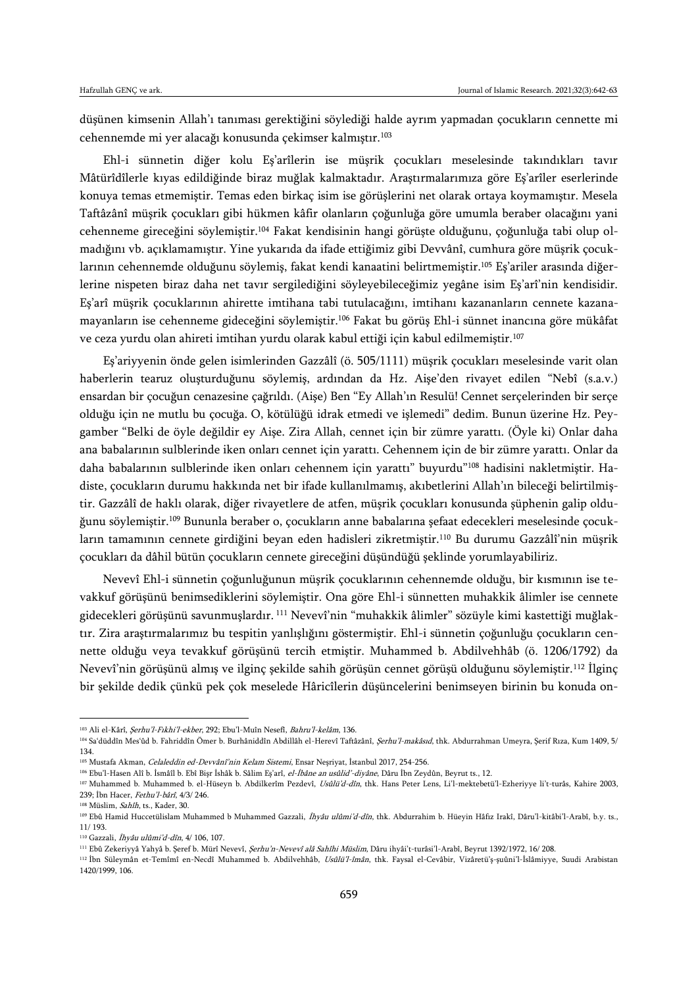düşünen kimsenin Allah'ı tanıması gerektiğini söylediği halde ayrım yapmadan çocukların cennette mi cehennemde mi yer alacağı konusunda çekimser kalmıştır.<sup>103</sup>

Ehl-i sünnetin diğer kolu Eş'arîlerin ise müşrik çocukları meselesinde takındıkları tavır Mâtürîdîlerle kıyas edildiğinde biraz muğlak kalmaktadır. Araştırmalarımıza göre Eş'arîler eserlerinde konuya temas etmemiştir. Temas eden birkaç isim ise görüşlerini net olarak ortaya koymamıştır. Mesela Taftâzânî müşrik çocukları gibi hükmen kâfir olanların çoğunluğa göre umumla beraber olacağını yani cehenneme gireceğini söylemiştir.<sup>104</sup> Fakat kendisinin hangi görüşte olduğunu, çoğunluğa tabi olup olmadığını vb. açıklamamıştır. Yine yukarıda da ifade ettiğimiz gibi Devvânî, cumhura göre müşrik çocuklarının cehennemde olduğunu söylemiş, fakat kendi kanaatini belirtmemiştir.<sup>105</sup> Eş'ariler arasında diğerlerine nispeten biraz daha net tavır sergilediğini söyleyebileceğimiz yegâne isim Eş'arî'nin kendisidir. Eş'arî müşrik çocuklarının ahirette imtihana tabi tutulacağını, imtihanı kazananların cennete kazanamayanların ise cehenneme gideceğini söylemiştir.<sup>106</sup> Fakat bu görüş Ehl-i sünnet inancına göre mükâfat ve ceza yurdu olan ahireti imtihan yurdu olarak kabul ettiği için kabul edilmemiştir.<sup>107</sup>

Eş'ariyyenin önde gelen isimlerinden Gazzâlî (ö. 505/1111) müşrik çocukları meselesinde varit olan haberlerin tearuz oluşturduğunu söylemiş, ardından da Hz. Aişe'den rivayet edilen "Nebî (s.a.v.) ensardan bir çocuğun cenazesine çağrıldı. (Aişe) Ben "Ey Allah'ın Resulü! Cennet serçelerinden bir serçe olduğu için ne mutlu bu çocuğa. O, kötülüğü idrak etmedi ve işlemedi" dedim. Bunun üzerine Hz. Peygamber "Belki de öyle değildir ey Aişe. Zira Allah, cennet için bir zümre yarattı. (Öyle ki) Onlar daha ana babalarının sulblerinde iken onları cennet için yarattı. Cehennem için de bir zümre yarattı. Onlar da daha babalarının sulblerinde iken onları cehennem için yarattı" buyurdu"<sup>108</sup> hadisini nakletmiştir. Hadiste, çocukların durumu hakkında net bir ifade kullanılmamış, akıbetlerini Allah'ın bileceği belirtilmiştir. Gazzâlî de haklı olarak, diğer rivayetlere de atfen, müşrik çocukları konusunda şüphenin galip olduğunu söylemiştir.<sup>109</sup> Bununla beraber o, çocukların anne babalarına şefaat edecekleri meselesinde çocukların tamamının cennete girdiğini beyan eden hadisleri zikretmiştir.<sup>110</sup> Bu durumu Gazzâlî'nin müşrik çocukları da dâhil bütün çocukların cennete gireceğini düşündüğü şeklinde yorumlayabiliriz.

Nevevî Ehl-i sünnetin çoğunluğunun müşrik çocuklarının cehennemde olduğu, bir kısmının ise tevakkuf görüşünü benimsediklerini söylemiştir. Ona göre Ehl-i sünnetten muhakkik âlimler ise cennete gidecekleri görüşünü savunmuşlardır. <sup>111</sup> Nevevî'nin "muhakkik âlimler" sözüyle kimi kastettiği muğlaktır. Zira araştırmalarımız bu tespitin yanlışlığını göstermiştir. Ehl-i sünnetin çoğunluğu çocukların cennette olduğu veya tevakkuf görüşünü tercih etmiştir. Muhammed b. Abdilvehhâb (ö. 1206/1792) da Nevevî'nin görüşünü almış ve ilginç şekilde sahih görüşün cennet görüşü olduğunu söylemiştir.<sup>112</sup> İlginç bir şekilde dedik çünkü pek çok meselede Hâricîlerin düşüncelerini benimseyen birinin bu konuda on-

<sup>&</sup>lt;sup>103</sup> Ali el-Kârî, *Şerhu'l-Fıkhi'l-ekber*, 292; Ebu'l-Muîn Nesefî, Bahru'l-kelâm, 136.

<sup>104</sup> Sa'düddîn Mes'ûd b. Fahriddîn Ömer b. Burhâniddîn Abdillâh el-Herevî Taftâzânî, *Şerhu'l-makâsıd*, thk. Abdurrahman Umeyra, Şerif Rıza, Kum 1409, 5/ 134.

<sup>&</sup>lt;sup>105</sup> Mustafa Akman, *Celaleddin ed-Devvânî'nin Kelam Sistemi*, Ensar Neşriyat, İstanbul 2017, 254-256.

<sup>&</sup>lt;sup>106</sup> Ebu'l-Hasen Alî b. İsmâîl b. Ebî Bişr İshâk b. Sâlim Eş'arî, el-İbâne an usûlid'-diyâne, Dâru İbn Zeydûn, Beyrut ts., 12.

<sup>&</sup>lt;sup>107</sup> Muhammed b. Muhammed b. el-Hüseyn b. Abdilkerîm Pezdevî, *Usûlü'd-dîn*, thk. Hans Peter Lens, Li'l-mektebetü'l-Ezheriyye li't-turâs, Kahire 2003, 239; İbn Hacer, Fethu'l-bârî, 4/3/ 246.

<sup>&</sup>lt;sup>108</sup> Müslim, *Sahîh*, ts., Kader, 30.

<sup>&</sup>lt;sup>109</sup> Ebû Hamid Huccetülislam Muhammed b Muhammed Gazzali, İhyâu ulûmi'd-dîn, thk. Abdurrahim b. Hüeyin Hâfız Irakî, Dâru'l-kitâbi'l-Arabî, b.y. ts., 11/ 193.

<sup>110</sup> Gazzali, İhyâu ulûmi'd-dîn, 4/ 106, 107.

<sup>&</sup>lt;sup>111</sup> Ebû Zekeriyyâ Yahyâ b. Şeref b. Mürî Nevevî, *Şerhu'n-Nevevî alâ Sahîhi Müslim*, Dâru ihyâi't-turâsi'l-Arabî, Beyrut 1392/1972, 16/ 208.

<sup>&</sup>lt;sup>112</sup> Îbn Süleymân et-Temîmî en-Necdî Muhammed b. Abdilvehhâb, *Usûlü'l-îmân*, thk. Faysal el-Cevâbir, Vizâretü's-suûni'l-İslâmiyye, Suudi Arabistan 1420/1999, 106.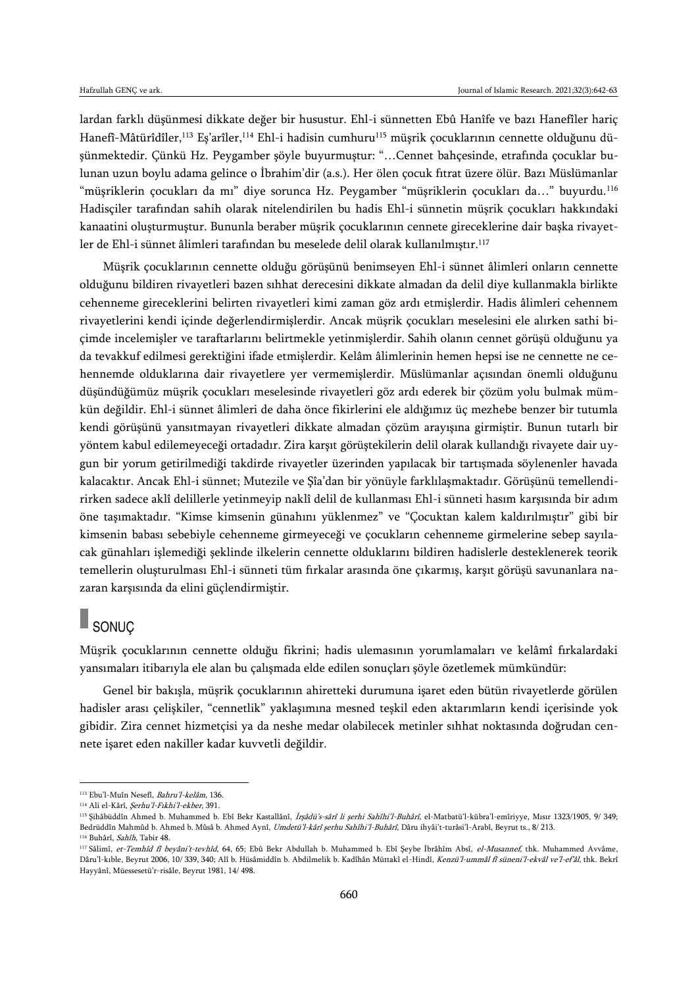lardan farklı düşünmesi dikkate değer bir husustur. Ehl-i sünnetten Ebû Hanîfe ve bazı Hanefîler hariç Hanefî-Mâtürîdîler,<sup>113</sup> Eş'arîler,<sup>114</sup> Ehl-i hadisin cumhuru<sup>115</sup> müşrik çocuklarının cennette olduğunu düşünmektedir. Çünkü Hz. Peygamber şöyle buyurmuştur: "…Cennet bahçesinde, etrafında çocuklar bulunan uzun boylu adama gelince o İbrahim'dir (a.s.). Her ölen çocuk fıtrat üzere ölür. Bazı Müslümanlar "müşriklerin çocukları da mı" diye sorunca Hz. Peygamber "müşriklerin çocukları da…" buyurdu.<sup>116</sup> Hadisçiler tarafından sahih olarak nitelendirilen bu hadis Ehl-i sünnetin müşrik çocukları hakkındaki kanaatini oluşturmuştur. Bununla beraber müşrik çocuklarının cennete gireceklerine dair başka rivayetler de Ehl-i sünnet âlimleri tarafından bu meselede delil olarak kullanılmıştır.<sup>117</sup>

Müşrik çocuklarının cennette olduğu görüşünü benimseyen Ehl-i sünnet âlimleri onların cennette olduğunu bildiren rivayetleri bazen sıhhat derecesini dikkate almadan da delil diye kullanmakla birlikte cehenneme gireceklerini belirten rivayetleri kimi zaman göz ardı etmişlerdir. Hadis âlimleri cehennem rivayetlerini kendi içinde değerlendirmişlerdir. Ancak müşrik çocukları meselesini ele alırken sathi biçimde incelemişler ve taraftarlarını belirtmekle yetinmişlerdir. Sahih olanın cennet görüşü olduğunu ya da tevakkuf edilmesi gerektiğini ifade etmişlerdir. Kelâm âlimlerinin hemen hepsi ise ne cennette ne cehennemde olduklarına dair rivayetlere yer vermemişlerdir. Müslümanlar açısından önemli olduğunu düşündüğümüz müşrik çocukları meselesinde rivayetleri göz ardı ederek bir çözüm yolu bulmak mümkün değildir. Ehl-i sünnet âlimleri de daha önce fikirlerini ele aldığımız üç mezhebe benzer bir tutumla kendi görüşünü yansıtmayan rivayetleri dikkate almadan çözüm arayışına girmiştir. Bunun tutarlı bir yöntem kabul edilemeyeceği ortadadır. Zira karşıt görüştekilerin delil olarak kullandığı rivayete dair uygun bir yorum getirilmediği takdirde rivayetler üzerinden yapılacak bir tartışmada söylenenler havada kalacaktır. Ancak Ehl-i sünnet; Mutezile ve Şîa'dan bir yönüyle farklılaşmaktadır. Görüşünü temellendirirken sadece aklî delillerle yetinmeyip naklî delil de kullanması Ehl-i sünneti hasım karşısında bir adım öne taşımaktadır. "Kimse kimsenin günahını yüklenmez" ve "Çocuktan kalem kaldırılmıştır" gibi bir kimsenin babası sebebiyle cehenneme girmeyeceği ve çocukların cehenneme girmelerine sebep sayılacak günahları işlemediği şeklinde ilkelerin cennette olduklarını bildiren hadislerle desteklenerek teorik temellerin oluşturulması Ehl-i sünneti tüm fırkalar arasında öne çıkarmış, karşıt görüşü savunanlara nazaran karşısında da elini güçlendirmiştir.

# SONUÇ

 $\overline{\phantom{a}}$ 

Müşrik çocuklarının cennette olduğu fikrini; hadis ulemasının yorumlamaları ve kelâmî fırkalardaki yansımaları itibarıyla ele alan bu çalışmada elde edilen sonuçları şöyle özetlemek mümkündür:

Genel bir bakışla, müşrik çocuklarının ahiretteki durumuna işaret eden bütün rivayetlerde görülen hadisler arası çelişkiler, "cennetlik" yaklaşımına mesned teşkil eden aktarımların kendi içerisinde yok gibidir. Zira cennet hizmetçisi ya da neshe medar olabilecek metinler sıhhat noktasında doğrudan cennete işaret eden nakiller kadar kuvvetli değildir.

<sup>&</sup>lt;sup>113</sup> Ebu'l-Muîn Nesefî, *Bahru'l-kelâm*, 136.

<sup>114</sup> Ali el-Kârî, Şerhu'l-Fıkhi'l-ekber, 391.

<sup>&</sup>lt;sup>115</sup> Şihâbüddîn Ahmed b. Muhammed b. Ebî Bekr Kastallânî, İrşâdü's-sârî li şerhi Sahîhi'l-Buhârî, el-Matbatü'l-kübra'l-emîriyye, Mısır 1323/1905, 9/ 349; Bedrüddîn Mahmûd b. Ahmed b. Mûsâ b. Ahmed Aynî, Umdetü'l-kârî şerhu Sahîhi'l-Buhârî, Dâru ihyâi't-turâsi'l-Arabî, Beyrut ts., 8/ 213. <sup>116</sup> Buhârî, Sahîh, Tabir 48.

<sup>&</sup>lt;sup>117</sup> Sâlimî, et-Temhîd fî beyâni't-tevhîd, 64, 65; Ebû Bekr Abdullah b. Muhammed b. Ebî Şeybe İbrâhîm Absî, el-Musannef, thk. Muhammed Avvâme, Dâru'l-kıble, Beyrut 2006, 10/ 339, 340; Alî b. Hüsâmiddîn b. Abdilmelik b. Kadîhân Müttakî el-Hindî, Kenzü'l-ummâl fî süneni'l-ekvâl ve'l-ef'âl, thk. Bekrî Hayyânî, Müessesetü'r-risâle, Beyrut 1981, 14/ 498.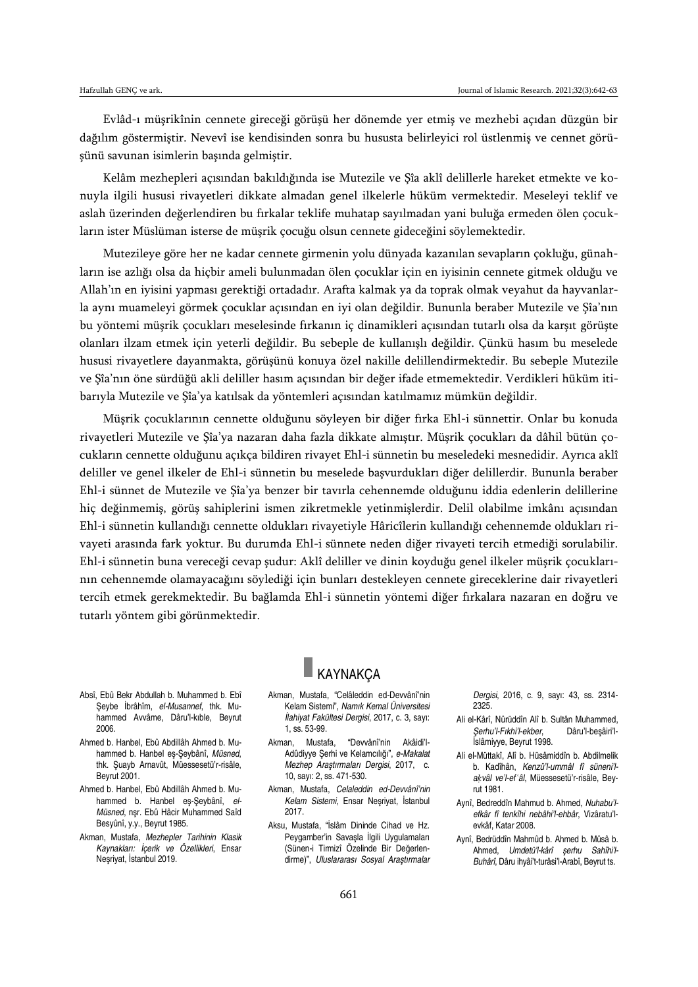Evlâd-ı müşrikînin cennete gireceği görüşü her dönemde yer etmiş ve mezhebi açıdan düzgün bir dağılım göstermiştir. Nevevî ise kendisinden sonra bu hususta belirleyici rol üstlenmiş ve cennet görüşünü savunan isimlerin başında gelmiştir.

Kelâm mezhepleri açısından bakıldığında ise Mutezile ve Şîa aklî delillerle hareket etmekte ve konuyla ilgili hususi rivayetleri dikkate almadan genel ilkelerle hüküm vermektedir. Meseleyi teklif ve aslah üzerinden değerlendiren bu fırkalar teklife muhatap sayılmadan yani buluğa ermeden ölen çocukların ister Müslüman isterse de müşrik çocuğu olsun cennete gideceğini söylemektedir.

Mutezileye göre her ne kadar cennete girmenin yolu dünyada kazanılan sevapların çokluğu, günahların ise azlığı olsa da hiçbir ameli bulunmadan ölen çocuklar için en iyisinin cennete gitmek olduğu ve Allah'ın en iyisini yapması gerektiği ortadadır. Arafta kalmak ya da toprak olmak veyahut da hayvanlarla aynı muameleyi görmek çocuklar açısından en iyi olan değildir. Bununla beraber Mutezile ve Şîa'nın bu yöntemi müşrik çocukları meselesinde fırkanın iç dinamikleri açısından tutarlı olsa da karşıt görüşte olanları ilzam etmek için yeterli değildir. Bu sebeple de kullanışlı değildir. Çünkü hasım bu meselede hususi rivayetlere dayanmakta, görüşünü konuya özel nakille delillendirmektedir. Bu sebeple Mutezile ve Şîa'nın öne sürdüğü akli deliller hasım açısından bir değer ifade etmemektedir. Verdikleri hüküm itibarıyla Mutezile ve Şîa'ya katılsak da yöntemleri açısından katılmamız mümkün değildir.

Müşrik çocuklarının cennette olduğunu söyleyen bir diğer fırka Ehl-i sünnettir. Onlar bu konuda rivayetleri Mutezile ve Şîa'ya nazaran daha fazla dikkate almıştır. Müşrik çocukları da dâhil bütün çocukların cennette olduğunu açıkça bildiren rivayet Ehl-i sünnetin bu meseledeki mesnedidir. Ayrıca aklî deliller ve genel ilkeler de Ehl-i sünnetin bu meselede başvurdukları diğer delillerdir. Bununla beraber Ehl-i sünnet de Mutezile ve Şîa'ya benzer bir tavırla cehennemde olduğunu iddia edenlerin delillerine hiç değinmemiş, görüş sahiplerini ismen zikretmekle yetinmişlerdir. Delil olabilme imkânı açısından Ehl-i sünnetin kullandığı cennette oldukları rivayetiyle Hâricîlerin kullandığı cehennemde oldukları rivayeti arasında fark yoktur. Bu durumda Ehl-i sünnete neden diğer rivayeti tercih etmediği sorulabilir. Ehl-i sünnetin buna vereceği cevap şudur: Aklî deliller ve dinin koyduğu genel ilkeler müşrik çocuklarının cehennemde olamayacağını söylediği için bunları destekleyen cennete gireceklerine dair rivayetleri tercih etmek gerekmektedir. Bu bağlamda Ehl-i sünnetin yöntemi diğer fırkalara nazaran en doğru ve tutarlı yöntem gibi görünmektedir.

- Absî, Ebû Bekr Abdullah b. Muhammed b. Ebî Şeybe İbrâhîm, *el-Musannef*, thk. Muhammed Avvâme, Dâru'l-kıble, Beyrut 2006.
- Ahmed b. Hanbel, Ebû Abdillâh Ahmed b. Muhammed b. Hanbel eş-Şeybânî, *Müsned*, thk. Şuayb Arnavût, Müessesetü'r-risâle, Beyrut 2001.
- Ahmed b. Hanbel, Ebû Abdillâh Ahmed b. Muhammed b. Hanbel eş-Şeybânî, *el-Müsned*, nşr. Ebû Hâcir Muhammed Saîd Besyûnî, y.y., Beyrut 1985.
- Akman, Mustafa, *Mezhepler Tarihinin Klasik Kaynakları: İçerik ve Özellikleri*, Ensar Neşriyat, İstanbul 2019.

# **KAYNAKÇA**

- Akman, Mustafa, "Celâleddin ed-Devvânî'nin Kelam Sistemi", *Namık Kemal Üniversitesi İlahiyat Fakültesi Dergisi*, 2017, c. 3, sayı: 1, ss. 53-99.
- Akman, Mustafa, "Devvânî'nin Akâidi'l-Adûdiyye Şerhi ve Kelamcılığı", *e-Makalat Mezhep Araştırmaları Dergisi*, 2017, c. 10, sayı: 2, ss. 471-530.
- Akman, Mustafa, *Celaleddin ed-Devvânî'nin Kelam Sistemi*, Ensar Neşriyat, İstanbul 2017.
- Aksu, Mustafa, "İslâm Dininde Cihad ve Hz. Peygamber'in Savaşla İlgili Uygulamaları (Sünen-i Tirmizî Özelinde Bir Değerlendirme)", *Uluslararası Sosyal Araştırmalar*

*Dergisi*, 2016, c. 9, sayı: 43, ss. 2314- 2325.

- Ali el-Kârî, Nûrüddîn Alî b. Sultân Muhammed, *Şerhu'l-Fıkhi'l-ekber*, Dâru'l-beşâiri'l-İslâmiyye, Beyrut 1998.
- Ali el-Müttakî, Alî b. Hüsâmiddîn b. Abdilmelik b. Kadîhân, *Kenzü'l-ummâl fî süneni'laḳvâl ve'l-efʿâl*, Müessesetü'r-risâle, Beyrut 1981.
- Aynî, Bedreddîn Mahmud b. Ahmed, *Nuhabu'lefkâr fî tenkîhi nebâhi'l-ehbâr*, Vizâratu'levkâf, Katar 2008.
- Aynî, Bedrüddîn Mahmûd b. Ahmed b. Mûsâ b. Ahmed, *Umdetü'l-kârî şerhu Sahîhi'l-Buhârî*, Dâru ihyâi't-turâsi'l-Arabî, Beyrut ts.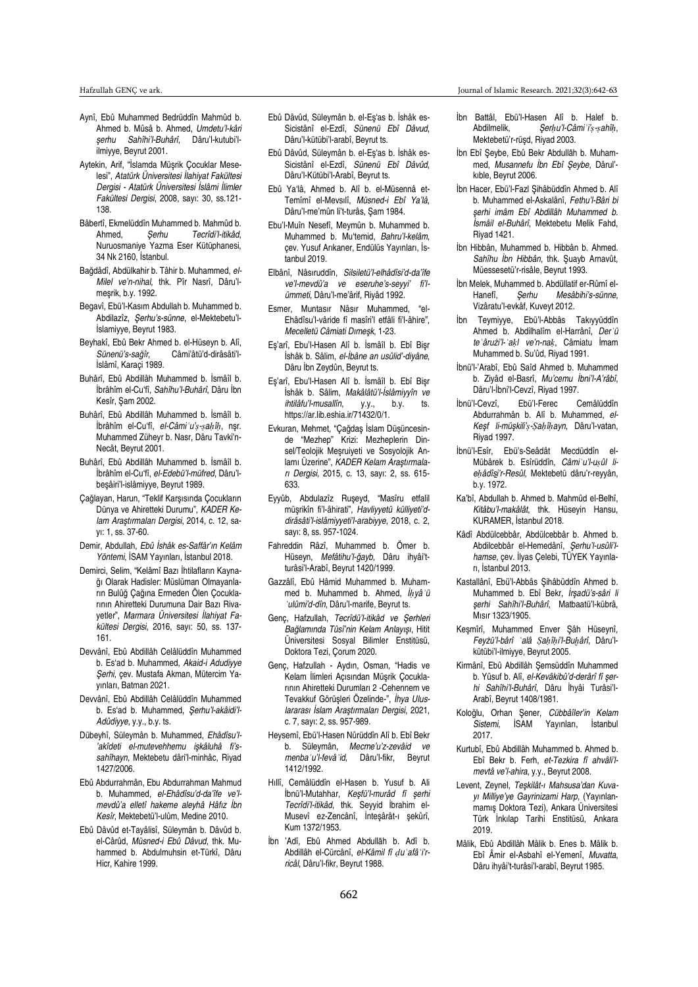- Aynî, Ebû Muhammed Bedrüddîn Mahmûd b. Ahmed b. Mûsâ b. Ahmed, *Umdetu'l-kâri şerhu Sahîhi'l-Buhârî*, Dâru'l-kutubi'lilmiyye, Beyrut 2001.
- Aytekin, Arif, "İslamda Müşrik Çocuklar Meselesi", *Atatürk Üniversitesi İlahiyat Fakültesi Dergisi - Atatürk Üniversitesi İslâmi İlimler Fakültesi Dergisi*, 2008, sayı: 30, ss.121- 138.
- Bâbertî, Ekmelüddîn Muhammed b. Mahmûd b.<br>Ahmed. Serhu Tecrîdi'l-itikâd. Ahmed, *Şerhu Tecrîdi'l-itikâd*, Nuruosmaniye Yazma Eser Kütüphanesi, 34 Nk 2160, İstanbul.
- Bağdâdî, Abdülkahir b. Tâhir b. Muhammed, *el-Milel ve'n-nihal*, thk. Pîr Nasrî, Dâru'lmeşrik, b.y. 1992.
- Begavî, Ebü'l-Kasım Abdullah b. Muhammed b. Abdilazîz, *Şerhu's-sünne*, el-Mektebetu'l-İslamiyye, Beyrut 1983.
- Beyhakî, Ebû Bekr Ahmed b. el-Hüseyn b. Alî, *Sünenü's-sağîr*, Câmi'âtü'd-dirâsâti'l-İslâmî, Karaçi 1989.
- Buhârî, Ebû Abdillâh Muhammed b. İsmâîl b. İbrâhîm el-Cu'fî, *Sahîhu'l-Buhârî*, Dâru İbn Kesîr, Şam 2002.
- Buhârî, Ebû Abdillâh Muhammed b. İsmâîl b. İbrâhîm el-Cu'fî, *el-Câmiʿu'ṣ-ṣaḥîḥ*, nşr. Muhammed Züheyr b. Nasr, Dâru Tavki'n-Necât, Beyrut 2001.
- Buhârî, Ebû Abdillâh Muhammed b. İsmâîl b. İbrâhîm el-Cu'fî, *el-Edebü'l-müfred*, Dâru'lbeşâiri'l-islâmiyye, Beyrut 1989.
- Çağlayan, Harun, "Teklif Karşısında Çocukların Dünya ve Ahiretteki Durumu", *KADER Kelam Araştırmaları Dergisi*, 2014, c. 12, sayı: 1, ss. 37-60.
- Demir, Abdullah, *Ebû İshâk es-Saffâr'ın Kelâm Yöntemi*, İSAM Yayınları, İstanbul 2018.
- Demirci, Selim, "Kelâmî Bazı İhtilafların Kaynağı Olarak Hadisler: Müslüman Olmayanların Bulûğ Çağına Ermeden Ölen Çocuklarının Ahiretteki Durumuna Dair Bazı Rivayetler", *Marmara Üniversitesi İlahiyat Fakültesi Dergisi*, 2016, sayı: 50, ss. 137- 161.
- Devvânî, Ebû Abdillâh Celâlüddîn Muhammed b. Es'ad b. Muhammed, *Akaid-i Adudiyye Şerhi*, çev. Mustafa Akman, Mütercim Yayınları, Batman 2021.
- Devvânî, Ebû Abdillâh Celâlüddîn Muhammed b. Es'ad b. Muhammed, *Şerhu'l-akâidi'l-Adûdiyye*, y.y., b.y. ts.
- Dübeyhî, Süleymân b. Muhammed, *Ehâdîsu'l- 'akîdeti el-mutevehhemu işkâluhâ fi'ssahîhayn*, Mektebetu dâri'l-minhâc, Riyad 1427/2006.
- Ebû Abdurrahmân, Ebu Abdurrahman Mahmud b. Muhammed, *el-Ehâdîsu'd-da'îfe ve'lmevdû'a elletî hakeme aleyhâ Hâfız İbn Kesîr*, Mektebetü'l-ulûm, Medine 2010.
- Ebû Dâvûd et-Tayâlisî, Süleymân b. Dâvûd b. el-Cârûd, *Müsned-i Ebû Dâvud*, thk. Muhammed b. Abdulmuhsin et-Türkî, Dâru Hicr, Kahire 1999.
- Ebû Dâvûd, Süleymân b. el-Eş'as b. İshâk es-Sicistânî el-Ezdî, *Sünenü Ebî Dâvud*, Dâru'l-kütübi'l-arabî, Beyrut ts.
- Ebû Dâvûd, Süleymân b. el-Eş'as b. İshâk es-Sicistânî el-Ezdî, *Sünenü Ebî Dâvûd*, Dâru'l-Kütübi'l-Arabî, Beyrut ts.
- Ebû Ya'lâ, Ahmed b. Alî b. el-Müsennâ et-Temîmî el-Mevsılî, *Müsned-i Ebî Ya'lâ*, Dâru'l-me'mûn li't-turâs, Şam 1984.
- Ebu'l-Muîn Nesefî, Meymûn b. Muhammed b. Muhammed b. Mu'temid, *Bahru'l-kelâm*, çev. Yusuf Arıkaner, Endülüs Yayınları, İstanbul 2019.
- Elbânî, Nâsıruddîn, *Silsiletü'l-elhâdîsi'd-da'îfe ve'l-mevdû'a ve eseruhe's-seyyi' fi'lümmeti*, Dâru'l-me'ârif, Riyâd 1992.
- Esmer, Muntasır Nâsır Muhammed, "el-Ehâdîsu'l-vâride fî masîri'l etfâli fi'l-âhire", *Mecelletü Câmiati Dımeşk*, 1-23.
- Eş'arî, Ebu'l-Hasen Alî b. İsmâîl b. Ebî Bişr İshâk b. Sâlim, *el-İbâne an usûlid'-diyâne*, Dâru İbn Zeydûn, Beyrut ts.
- Eş'arî, Ebu'l-Hasen Alî b. İsmâîl b. Ebî Bişr İshâk b. Sâlim, *Makâlâtü'l-İslâmiyyîn ve ihtilâfu'l-musallîn*, y.y., b.y. ts. https://ar.lib.eshia.ir/71432/0/1.
- Evkuran, Mehmet, "Çağdaş İslam Düşüncesinde "Mezhep" Krizi: Mezheplerin Dinsel/Teolojik Meşruiyeti ve Sosyolojik Anlamı Üzerine", *KADER Kelam Araştırmaları Dergisi,* 2015, c. 13, sayı: 2, ss. 615- 633.
- Eyyûb, Abdulazîz Ruşeyd, "Masîru etfalil müşrikîn fi'l-âhirati", *Havliyyetü külliyeti'ddirâsâti'l-islâmiyyeti'l-arabiyye*, 2018, c. 2, sayı: 8, ss. 957-1024.
- Fahreddin Râzî, Muhammed b. Ömer b. Hüseyn, *Mefâtihu'l-ğayb*, Dâru ihyâi'tturâsi'l-Arabî, Beyrut 1420/1999.
- Gazzâlî, Ebû Hâmid Muhammed b. Muhammed b. Muhammed b. Ahmed, *İḥyâʾü ʿulûmi'd-dîn*, Dâru'l-marife, Beyrut ts.
- Genç, Hafzullah, *Tecrîdü'l-itikâd ve Şerhleri Bağlamında Tûsî'nin Kelam Anlayışı*, Hitit Üniversitesi Sosyal Bilimler Enstitüsü, Doktora Tezi, Çorum 2020.
- Genç, Hafzullah Aydın, Osman, "Hadis ve Kelam İlimleri Açısından Müşrik Çocuklarının Ahiretteki Durumları 2 -Cehennem ve Tevakkuf Görüşleri Özelinde-", *İhya Uluslararası İslam Araştırmaları Dergisi*, 2021, c. 7, sayı: 2, ss. 957-989.
- Heysemî, Ebü'l-Hasen Nûrüddîn Alî b. Ebî Bekr b. Süleymân, *Mecme'u'z-zevâid ve menbaʿu'l-fevâʾid*, Dâru'l-fikr, Beyrut 1412/1992.
- Hıllî, Cemâlüddîn el-Hasen b. Yusuf b. Ali İbnü'l-Mutahhar, *Keşfü'l-murâd fî şerhi Tecrîdi'l-itikâd*, thk. Seyyid İbrahim el-Musevî ez-Zencânî, İnteşârât-ı şekûrî, Kum 1372/1953.
- İbn 'Adî, Ebû Ahmed Abdullāh b. Adî b. Abdillâh el-Cürcânî, *el-Kâmil fî ḍuʿafâʾi'rricâl*, Dâru'l-fikr, Beyrut 1988.
- İbn Battâl, Ebü'l-Hasen Alî b. Halef b.<br>Abdilmelik. Serhu'l-Câmi i's-sahîh. Abdilmelik, *Şerḥu'l-Câmiʿi'ṣ-ṣahîḥ*, Mektebetü'r-rüşd, Riyad 2003.
- İbn Ebî Şeybe, Ebû Bekr Abdullāh b. Muhammed, *Musannefu İbn Ebî Şeybe*, Dârul' kıble, Beyrut 2006.
- İbn Hacer, Ebü'l-Fazl Şihâbüddîn Ahmed b. Alî b. Muhammed el-Askalânî, *Fethu'l-Bâri bi şerhi imâm Ebî Abdillâh Muhammed b. İsmâil el-Buhârî*, Mektebetu Melik Fahd, Riyad 1421.
- İbn Hibbân, Muhammed b. Hibbân b. Ahmed. *Sahîhu İbn Hibbân*, thk. Şuayb Arnavût, Müessesetü'r-risâle, Beyrut 1993.
- İbn Melek, Muhammed b. Abdüllatif er-Rûmî el-Hanefî, *Şerhu Mesâbihi's-sünne*, Vizâratu'l-evkâf, Kuveyt 2012.
- İbn Teymiyye, Ebü'l-Abbâs Takıyyüddîn Ahmed b. Abdilhalîm el-Harrânî, *Derʾü teʿârużi'l-ʿaḳl ve'n-naḳ*, Câmiatu İmam Muhammed b. Su'ûd, Riyad 1991.
- İbnü'l-'Arabî, Ebû Saîd Ahmed b. Muhammed b. Ziyâd el-Basrî, *Mu'cemu İbni'l-A'râbî*, Dâru'l-İbni'l-Cevzî, Riyad 1997.
- İbnü'l-Cevzî, Ebü'l-Ferec Cemâlüddîn Abdurrahmân b. Alî b. Muhammed, *el-Keşf li-müşkili'ṣ-Ṣaḥîḥayn*, Dâru'l-vatan, Riyad 1997.
- İbnü'l-Esîr, Ebü's-Seâdât Mecdüddîn el-Mübârek b. Esîrüddîn, *Câmiʿu'l-uṣûl lieḥâdîs i'r-Resûl*, Mektebetü dâru'r-reyyân, b.y. 1972.
- Ka'bî, Abdullah b. Ahmed b. Mahmûd el-Belhî, *Kitâbu'l-makâlât*, thk. Hüseyin Hansu, KURAMER, İstanbul 2018.
- Kâdî Abdülcebbâr, Abdülcebbâr b. Ahmed b. Abdilcebbâr el-Hemedânî, *Şerhu'l-usûli'lhamse*, çev. İlyas Çelebi, TÜYEK Yayınları, İstanbul 2013.
- Kastallânî, Ebü'l-Abbâs Şihâbüddîn Ahmed b. Muhammed b. Ebî Bekr, *İrşadü's-sâri li şerhi Sahîhi'l-Buhârî*, Matbaatü'l-kübrâ, Mısır 1323/1905.
- Keşmîrî, Muhammed Enver Şâh Hüseynî, *Feyżü'l-bârî ʿalâ Ṣaḥîḥi'l-Buḫârî*, Dâru'lkütübi'l-ilmiyye, Beyrut 2005.
- Kirmânî, Ebû Abdillâh Şemsüddîn Muhammed b. Yûsuf b. Alî, *el-Kevâkibû'd-derârî fî şerhi Sahîhi'l-Buhârî*, Dâru İhyâi Turâsi'l-Arabî, Beyrut 1408/1981.
- Koloğlu, Orhan Şener, *Cübbâîler'in Kelam Sistemi*, İSAM Yayınları, İstanbul 2017.
- Kurtubî, Ebû Abdillâh Muhammed b. Ahmed b. Ebî Bekr b. Ferh, *et-Tezkira fî ahvâli'lmevtâ ve'l-ahira*, y.y., Beyrut 2008.
- Levent, Zeynel, *Teşkilât-ı Mahsusa'dan Kuvayı Milliye'ye Gayrinizami Harp*, (Yayınlanmamış Doktora Tezi), Ankara Üniversitesi Türk İnkılap Tarihi Enstitüsü, Ankara 2019.
- Mâlik, Ebû Abdillâh Mâlik b. Enes b. Mâlik b. Ebî Âmir el-Asbahî el-Yemenî, *Muvatta*, Dâru ihyâi't-turâsi'l-arabî, Beyrut 1985.